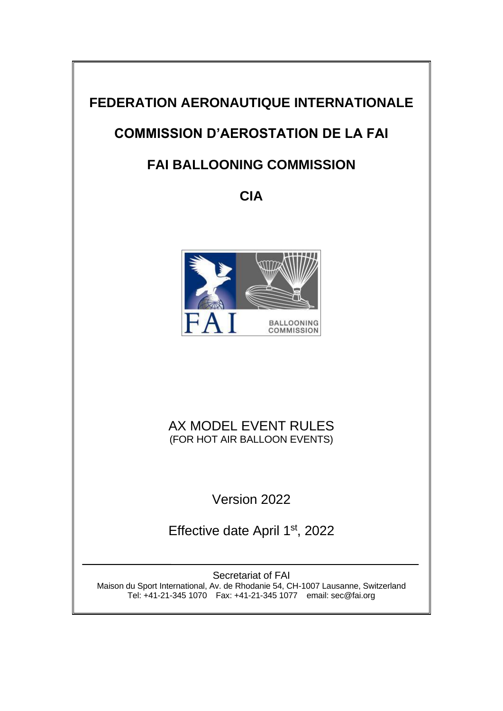# **FEDERATION AERONAUTIQUE INTERNATIONALE**

# **COMMISSION D'AEROSTATION DE LA FAI**

# **FAI BALLOONING COMMISSION**

**CIA**



## AX MODEL EVENT RULES (FOR HOT AIR BALLOON EVENTS)

Version 2022

Effective date April 1<sup>st</sup>, 2022

Secretariat of FAI Maison du Sport International, Av. de Rhodanie 54, CH-1007 Lausanne, Switzerland Tel: +41-21-345 1070 Fax: +41-21-345 1077 email: sec@fai.org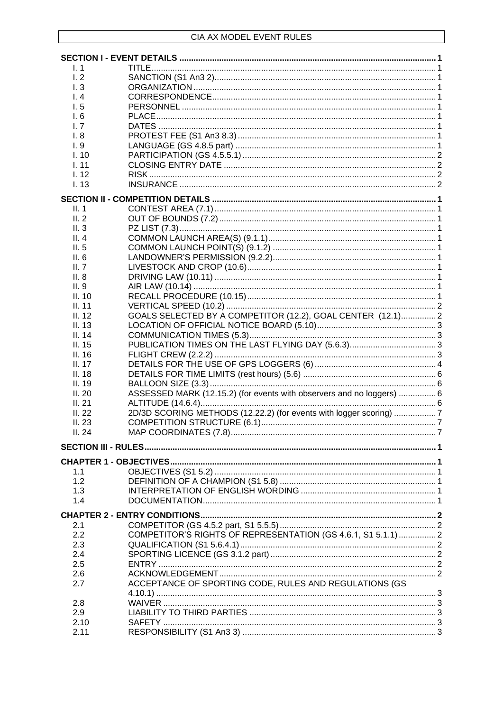| $\mathsf{L}$ 1 |                                                                       |  |
|----------------|-----------------------------------------------------------------------|--|
| 1.2            |                                                                       |  |
| 1.3            |                                                                       |  |
| 1.4            |                                                                       |  |
| l. 5           |                                                                       |  |
| 1.6            |                                                                       |  |
| I. 7           |                                                                       |  |
| I. 8           |                                                                       |  |
| 1.9            |                                                                       |  |
| 1.10           |                                                                       |  |
| 1.11           |                                                                       |  |
| 1.12           |                                                                       |  |
| 1.13           |                                                                       |  |
|                |                                                                       |  |
| II. 1          |                                                                       |  |
| II.2           |                                                                       |  |
| II.3           |                                                                       |  |
| II.4           |                                                                       |  |
| II.5           |                                                                       |  |
| II.6           |                                                                       |  |
| II. 7          |                                                                       |  |
| II.8           |                                                                       |  |
|                |                                                                       |  |
| II.9           |                                                                       |  |
| II. 10         |                                                                       |  |
| II. 11         |                                                                       |  |
| II.12          | GOALS SELECTED BY A COMPETITOR (12.2), GOAL CENTER (12.1) 2           |  |
| II. 13         |                                                                       |  |
| II. 14         |                                                                       |  |
| II. 15         |                                                                       |  |
| II. 16         |                                                                       |  |
| II. 17         |                                                                       |  |
| II.18          |                                                                       |  |
| II. 19         |                                                                       |  |
| II.20          | ASSESSED MARK (12.15.2) (for events with observers and no loggers)  6 |  |
| II.21          |                                                                       |  |
| II. $22$       | 2D/3D SCORING METHODS (12.22.2) (for events with logger scoring)  7   |  |
| II.23          |                                                                       |  |
| II.24          |                                                                       |  |
|                |                                                                       |  |
|                |                                                                       |  |
|                |                                                                       |  |
| 1.1            |                                                                       |  |
| 1.2            |                                                                       |  |
| 1.3            |                                                                       |  |
| 1.4            |                                                                       |  |
|                |                                                                       |  |
| 2.1            |                                                                       |  |
| 2.2            | COMPETITOR'S RIGHTS OF REPRESENTATION (GS 4.6.1, S1 5.1.1)  2         |  |
| 2.3            |                                                                       |  |
| 2.4            |                                                                       |  |
| 2.5            |                                                                       |  |
| 2.6            |                                                                       |  |
| 2.7            | ACCEPTANCE OF SPORTING CODE, RULES AND REGULATIONS (GS                |  |
|                |                                                                       |  |
| 2.8            |                                                                       |  |
| 2.9            |                                                                       |  |
| 2.10           |                                                                       |  |
| 2.11           |                                                                       |  |
|                |                                                                       |  |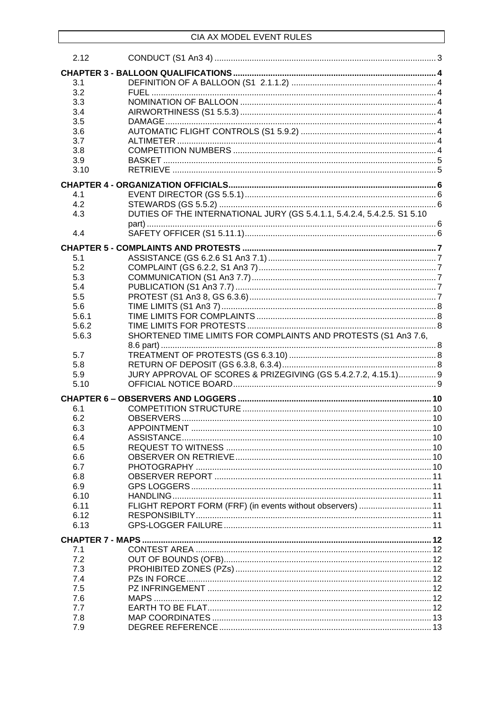| 2.12  |                                                                         |  |
|-------|-------------------------------------------------------------------------|--|
|       |                                                                         |  |
| 3.1   |                                                                         |  |
| 3.2   |                                                                         |  |
| 3.3   |                                                                         |  |
| 3.4   |                                                                         |  |
| 3.5   |                                                                         |  |
| 3.6   |                                                                         |  |
| 3.7   |                                                                         |  |
| 3.8   |                                                                         |  |
| 3.9   |                                                                         |  |
| 3.10  |                                                                         |  |
|       |                                                                         |  |
| 4.1   |                                                                         |  |
| 4.2   |                                                                         |  |
| 4.3   | DUTIES OF THE INTERNATIONAL JURY (GS 5.4.1.1, 5.4.2.4, 5.4.2.5. S1 5.10 |  |
|       |                                                                         |  |
| 4.4   |                                                                         |  |
|       |                                                                         |  |
| 5.1   |                                                                         |  |
| 5.2   |                                                                         |  |
| 5.3   |                                                                         |  |
| 5.4   |                                                                         |  |
| 5.5   |                                                                         |  |
| 5.6   |                                                                         |  |
| 5.6.1 |                                                                         |  |
| 5.6.2 |                                                                         |  |
| 5.6.3 | SHORTENED TIME LIMITS FOR COMPLAINTS AND PROTESTS (S1 An3 7.6,          |  |
|       |                                                                         |  |
| 5.7   |                                                                         |  |
| 5.8   |                                                                         |  |
| 5.9   | JURY APPROVAL OF SCORES & PRIZEGIVING (GS 5.4.2.7.2, 4.15.1) 9          |  |
| 5.10  |                                                                         |  |
|       |                                                                         |  |
| 6.1   |                                                                         |  |
| 6.2   |                                                                         |  |
| 6.3   |                                                                         |  |
| 6.4   |                                                                         |  |
| 6.5   |                                                                         |  |
| 6.6   |                                                                         |  |
| 6.7   |                                                                         |  |
| 6.8   |                                                                         |  |
| 6.9   |                                                                         |  |
| 6.10  |                                                                         |  |
| 6.11  | FLIGHT REPORT FORM (FRF) (in events without observers)  11              |  |
| 6.12  |                                                                         |  |
| 6.13  |                                                                         |  |
|       |                                                                         |  |
| 7.1   |                                                                         |  |
| 7.2   |                                                                         |  |
| 7.3   |                                                                         |  |
| 7.4   |                                                                         |  |
| 7.5   |                                                                         |  |
| 7.6   |                                                                         |  |
| 7.7   |                                                                         |  |
| 7.8   |                                                                         |  |
| 7.9   |                                                                         |  |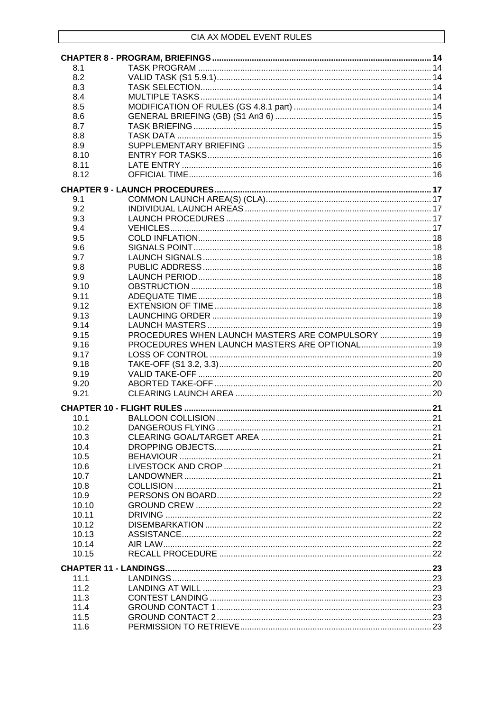| 8.1          |                                                   |  |
|--------------|---------------------------------------------------|--|
| 8.2          |                                                   |  |
| 8.3          |                                                   |  |
| 8.4          |                                                   |  |
| 8.5          |                                                   |  |
| 8.6          |                                                   |  |
| 8.7          |                                                   |  |
| 8.8          |                                                   |  |
| 8.9          |                                                   |  |
| 8.10         |                                                   |  |
| 8.11         |                                                   |  |
| 8.12         |                                                   |  |
|              |                                                   |  |
|              |                                                   |  |
| 9.1          |                                                   |  |
| 9.2          |                                                   |  |
| 9.3          |                                                   |  |
| 9.4          |                                                   |  |
| 9.5          |                                                   |  |
| 9.6          |                                                   |  |
| 9.7          |                                                   |  |
| 9.8          |                                                   |  |
| 9.9          |                                                   |  |
| 9.10         |                                                   |  |
| 9.11         |                                                   |  |
| 9.12         |                                                   |  |
| 9.13         |                                                   |  |
| 9.14         |                                                   |  |
|              |                                                   |  |
| 9.15         | PROCEDURES WHEN LAUNCH MASTERS ARE COMPULSORY  19 |  |
| 9.16         | PROCEDURES WHEN LAUNCH MASTERS ARE OPTIONAL 19    |  |
| 9.17         |                                                   |  |
| 9.18         |                                                   |  |
| 9.19         |                                                   |  |
| 9.20         |                                                   |  |
| 9.21         |                                                   |  |
|              |                                                   |  |
|              |                                                   |  |
| 10.1         |                                                   |  |
| 10.2         |                                                   |  |
| 10.3         |                                                   |  |
| 10.4         |                                                   |  |
| 10.5         |                                                   |  |
| 10.6         |                                                   |  |
| 10.7         |                                                   |  |
| 10.8         |                                                   |  |
| 10.9         |                                                   |  |
| 10.10        |                                                   |  |
| 10.11        |                                                   |  |
| 10.12        |                                                   |  |
| 10.13        |                                                   |  |
| 10.14        |                                                   |  |
| 10.15        |                                                   |  |
|              |                                                   |  |
| 11.1         |                                                   |  |
| 11.2         |                                                   |  |
| 11.3         |                                                   |  |
| 11.4         |                                                   |  |
| 11.5<br>11.6 |                                                   |  |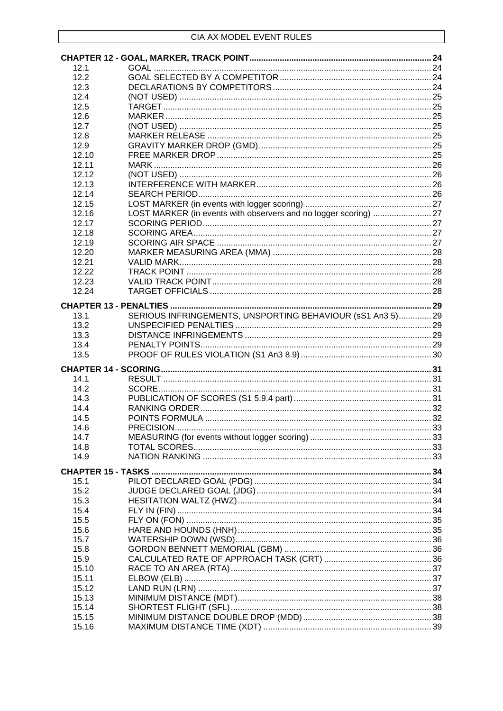| 12.1                      |                                                                  |  |
|---------------------------|------------------------------------------------------------------|--|
| 12.2                      |                                                                  |  |
| 12.3                      |                                                                  |  |
| 12.4                      |                                                                  |  |
| 12.5                      |                                                                  |  |
| 12.6                      |                                                                  |  |
| 12.7                      |                                                                  |  |
| 12.8                      |                                                                  |  |
| 12.9                      |                                                                  |  |
| 12.10                     |                                                                  |  |
| 12.11                     |                                                                  |  |
| 12.12                     |                                                                  |  |
| 12.13                     |                                                                  |  |
| 12.14                     |                                                                  |  |
| 12.15                     |                                                                  |  |
| 12.16                     | LOST MARKER (in events with observers and no logger scoring)  27 |  |
| 12.17                     |                                                                  |  |
| 12.18                     |                                                                  |  |
| 12.19                     |                                                                  |  |
| 12.20                     |                                                                  |  |
| 12.21                     |                                                                  |  |
| 12.22                     |                                                                  |  |
| 12.23                     |                                                                  |  |
| 12.24                     |                                                                  |  |
|                           |                                                                  |  |
| 13.1                      | SERIOUS INFRINGEMENTS, UNSPORTING BEHAVIOUR (sS1 An3 5) 29       |  |
| 13.2                      |                                                                  |  |
| 13.3                      |                                                                  |  |
| 13.4                      |                                                                  |  |
| 13.5                      |                                                                  |  |
|                           |                                                                  |  |
|                           |                                                                  |  |
| 14.1                      |                                                                  |  |
| 14.2                      |                                                                  |  |
| 14.3                      |                                                                  |  |
| 14.4                      |                                                                  |  |
| 14.5                      |                                                                  |  |
| 14.6                      |                                                                  |  |
| 14.7                      |                                                                  |  |
| 14.8                      |                                                                  |  |
| 14.9                      |                                                                  |  |
| <b>CHAPTER 15 - TASKS</b> |                                                                  |  |
| 15.1                      |                                                                  |  |
| 15.2                      |                                                                  |  |
| 15.3                      |                                                                  |  |
| 15.4                      |                                                                  |  |
| 15.5                      |                                                                  |  |
| 15.6                      |                                                                  |  |
| 15.7                      |                                                                  |  |
| 15.8                      |                                                                  |  |
| 15.9                      |                                                                  |  |
| 15.10                     |                                                                  |  |
| 15.11                     |                                                                  |  |
|                           |                                                                  |  |
| 15.12                     |                                                                  |  |
| 15.13                     |                                                                  |  |
| 15.14                     |                                                                  |  |
| 15.15                     |                                                                  |  |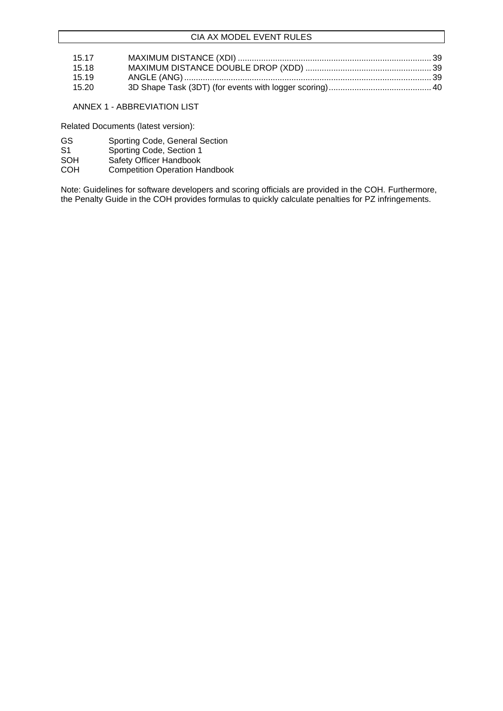| 15.17 |  |
|-------|--|
| 15.18 |  |
| 15.19 |  |
| 15.20 |  |

### ANNEX 1 - ABBREVIATION LIST

Related Documents (latest version):

- GS Sporting Code, General Section
- S1 Sporting Code, Section 1<br>SOH Safety Officer Handbook
- SOH Safety Officer Handbook<br>COH Competition Operation Ha
- Competition Operation Handbook

Note: Guidelines for software developers and scoring officials are provided in the COH. Furthermore, the Penalty Guide in the COH provides formulas to quickly calculate penalties for PZ infringements.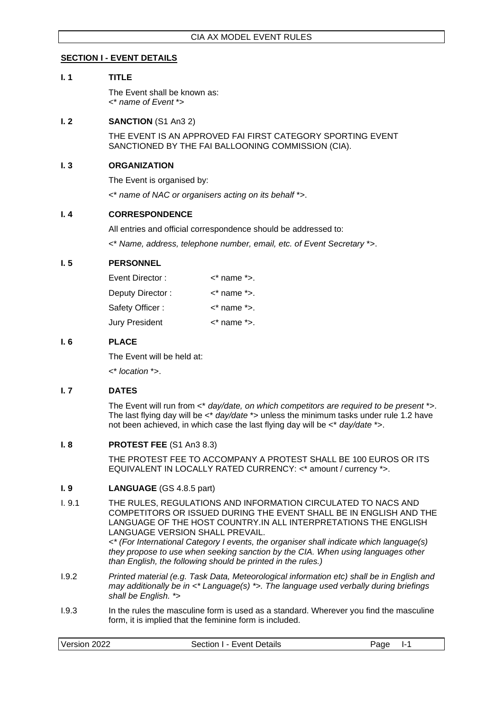### <span id="page-6-0"></span>**SECTION I - EVENT DETAILS**

### <span id="page-6-1"></span>**I. 1 TITLE**

The Event shall be known as: <\* *name of Event* \*>

### <span id="page-6-2"></span>**I. 2 SANCTION** (S1 An3 2)

THE EVENT IS AN APPROVED FAI FIRST CATEGORY SPORTING EVENT SANCTIONED BY THE FAI BALLOONING COMMISSION (CIA).

### <span id="page-6-3"></span>**I. 3 ORGANIZATION**

The Event is organised by:

<\* *name of NAC or organisers acting on its behalf* \*>.

### <span id="page-6-4"></span>**I. 4 CORRESPONDENCE**

All entries and official correspondence should be addressed to:

<\* *Name, address, telephone number, email, etc. of Event Secretary* \*>.

### <span id="page-6-5"></span>**I. 5 PERSONNEL**

| Event Director:  | $\lt^*$ name $\approx$ . |
|------------------|--------------------------|
| Deputy Director: | $\lt^*$ name $\approx$ . |
| Safety Officer : | $\lt^*$ name $\approx$ . |
| Jury President   | $\lt^*$ name $\approx$ . |

### <span id="page-6-6"></span>**I. 6 PLACE**

The Event will be held at:

<\* *location* \*>.

### <span id="page-6-7"></span>**I. 7 DATES**

The Event will run from <\* *day/date, on which competitors are required to be present* \*>. The last flying day will be  $\lt^*$  *day/date*  $\approx$  unless the minimum tasks under rule 1.2 have not been achieved, in which case the last flying day will be <\* *day/date* \*>.

### <span id="page-6-8"></span>**I. 8 PROTEST FEE** (S1 An3 8.3)

THE PROTEST FEE TO ACCOMPANY A PROTEST SHALL BE 100 EUROS OR ITS EQUIVALENT IN LOCALLY RATED CURRENCY: <\* amount / currency \*>.

### <span id="page-6-9"></span>**I. 9 LANGUAGE** (GS 4.8.5 part)

I. 9.1 THE RULES, REGULATIONS AND INFORMATION CIRCULATED TO NACS AND COMPETITORS OR ISSUED DURING THE EVENT SHALL BE IN ENGLISH AND THE LANGUAGE OF THE HOST COUNTRY.IN ALL INTERPRETATIONS THE ENGLISH LANGUAGE VERSION SHALL PREVAIL.

*<\* (For International Category I events, the organiser shall indicate which language(s) they propose to use when seeking sanction by the CIA. When using languages other than English, the following should be printed in the rules.)*

- I.9.2 *Printed material (e.g. Task Data, Meteorological information etc) shall be in English and may additionally be in <\* Language(s) \*>. The language used verbally during briefings shall be English. \*>*
- I.9.3 In the rules the masculine form is used as a standard. Wherever you find the masculine form, it is implied that the feminine form is included.

| Version<br>2022<br>-vent Details<br>.ection ∶<br>'aae<br> |
|-----------------------------------------------------------|
|-----------------------------------------------------------|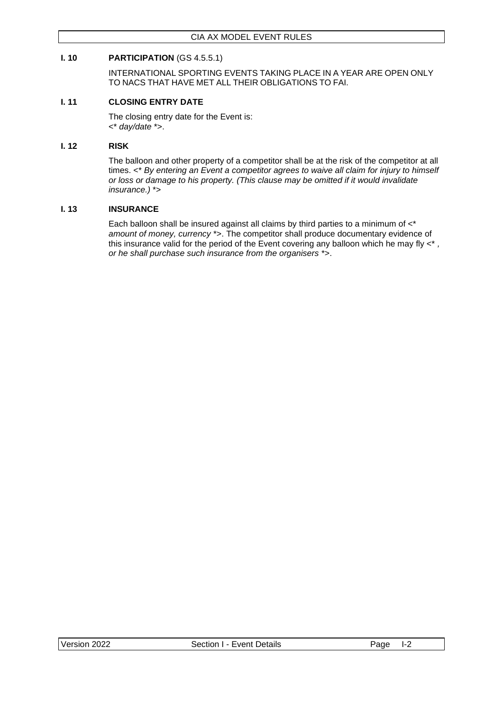### <span id="page-7-0"></span>**I. 10 PARTICIPATION** (GS 4.5.5.1)

INTERNATIONAL SPORTING EVENTS TAKING PLACE IN A YEAR ARE OPEN ONLY TO NACS THAT HAVE MET ALL THEIR OBLIGATIONS TO FAI.

### <span id="page-7-1"></span>**I. 11 CLOSING ENTRY DATE**

The closing entry date for the Event is: <\* *day/date* \*>.

### <span id="page-7-2"></span>**I. 12 RISK**

The balloon and other property of a competitor shall be at the risk of the competitor at all times. <\* *By entering an Event a competitor agrees to waive all claim for injury to himself or loss or damage to his property. (This clause may be omitted if it would invalidate insurance.)* \*>

### <span id="page-7-3"></span>**I. 13 INSURANCE**

Each balloon shall be insured against all claims by third parties to a minimum of <\* *amount of money, currency* \*>. The competitor shall produce documentary evidence of this insurance valid for the period of the Event covering any balloon which he may fly <\* *, or he shall purchase such insurance from the organisers* \*>.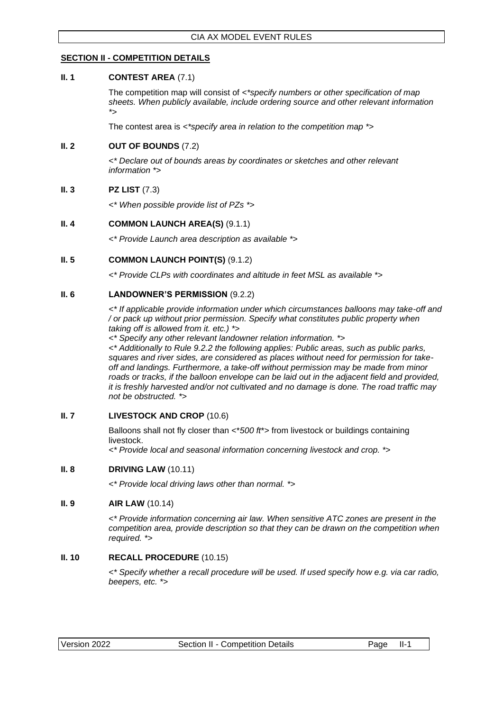### <span id="page-8-0"></span>**SECTION II - COMPETITION DETAILS**

#### <span id="page-8-1"></span>**II. 1 CONTEST AREA** (7.1)

The competition map will consist of *<\*specify numbers or other specification of map sheets. When publicly available, include ordering source and other relevant information \*>*

The contest area is *<\*specify area in relation to the competition map \*>*

### <span id="page-8-2"></span>**II. 2 OUT OF BOUNDS** (7.2)

*<\* Declare out of bounds areas by coordinates or sketches and other relevant information \*>*

### <span id="page-8-3"></span>**II. 3 PZ LIST** (7.3)

*<\* When possible provide list of PZs \*>*

### <span id="page-8-4"></span>**II. 4 COMMON LAUNCH AREA(S)** (9.1.1)

*<\* Provide Launch area description as available \*>*

### <span id="page-8-5"></span>**II. 5 COMMON LAUNCH POINT(S) (9.1.2)**

*<\* Provide CLPs with coordinates and altitude in feet MSL as available \*>*

### <span id="page-8-6"></span>**II. 6 LANDOWNER'S PERMISSION** (9.2.2)

*<\* If applicable provide information under which circumstances balloons may take-off and / or pack up without prior permission. Specify what constitutes public property when taking off is allowed from it. etc.) \*>*

*<\* Specify any other relevant landowner relation information. \*>*

*<\* Additionally to Rule 9.2.2 the following applies: Public areas, such as public parks, squares and river sides, are considered as places without need for permission for takeoff and landings. Furthermore, a take-off without permission may be made from minor*  roads or tracks, if the balloon envelope can be laid out in the adjacent field and provided, *it is freshly harvested and/or not cultivated and no damage is done. The road traffic may not be obstructed. \*>*

### <span id="page-8-7"></span>**II. 7 LIVESTOCK AND CROP** (10.6)

Balloons shall not fly closer than <\**500 ft*\*> from livestock or buildings containing livestock.

*<\* Provide local and seasonal information concerning livestock and crop. \*>*

### <span id="page-8-8"></span>**II. 8 DRIVING LAW** (10.11)

*<\* Provide local driving laws other than normal. \*>*

### <span id="page-8-9"></span>**II. 9 AIR LAW** (10.14)

*<\* Provide information concerning air law. When sensitive ATC zones are present in the competition area, provide description so that they can be drawn on the competition when required. \*>*

### <span id="page-8-10"></span>**II. 10 RECALL PROCEDURE** (10.15)

*<\* Specify whether a recall procedure will be used. If used specify how e.g. via car radio, beepers, etc. \*>*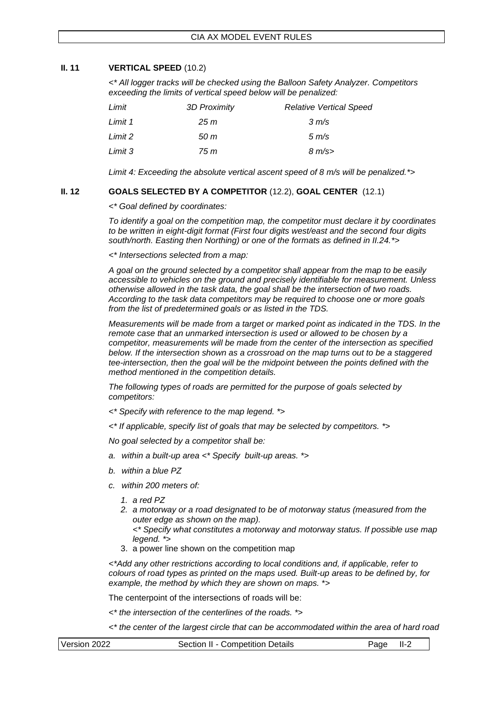### <span id="page-9-0"></span>**II. 11 VERTICAL SPEED** (10.2)

*<\* All logger tracks will be checked using the Balloon Safety Analyzer. Competitors exceeding the limits of vertical speed below will be penalized:* 

| Limit   | 3D Proximity | <b>Relative Vertical Speed</b> |
|---------|--------------|--------------------------------|
| Limit 1 | 25 m         | $3 \, \text{m/s}$              |
| Limit 2 | 50 m         | $5 \, \text{m/s}$              |
| Limit 3 | 75 m         | $8 \text{ m/s}$                |

*Limit 4: Exceeding the absolute vertical ascent speed of 8 m/s will be penalized.\*>*

### <span id="page-9-1"></span>**II. 12 GOALS SELECTED BY A COMPETITOR** (12.2), **GOAL CENTER** (12.1)

*<\* Goal defined by coordinates:*

*To identify a goal on the competition map, the competitor must declare it by coordinates to be written in eight-digit format (First four digits west/east and the second four digits south/north. Easting then Northing) or one of the formats as defined in II.24.\*>*

*<\* Intersections selected from a map:*

*A goal on the ground selected by a competitor shall appear from the map to be easily accessible to vehicles on the ground and precisely identifiable for measurement. Unless otherwise allowed in the task data, the goal shall be the intersection of two roads. According to the task data competitors may be required to choose one or more goals from the list of predetermined goals or as listed in the TDS.*

*Measurements will be made from a target or marked point as indicated in the TDS. In the remote case that an unmarked intersection is used or allowed to be chosen by a competitor, measurements will be made from the center of the intersection as specified below. If the intersection shown as a crossroad on the map turns out to be a staggered tee-intersection, then the goal will be the midpoint between the points defined with the method mentioned in the competition details.*

*The following types of roads are permitted for the purpose of goals selected by competitors:*

- *<\* Specify with reference to the map legend. \*>*
- *<\* If applicable, specify list of goals that may be selected by competitors. \*>*

*No goal selected by a competitor shall be:*

- *a. within a built-up area <\* Specify built-up areas. \*>*
- *b. within a blue PZ*
- *c. within 200 meters of:*
	- *1. a red PZ*
	- *2. a motorway or a road designated to be of motorway status (measured from the outer edge as shown on the map).*
		- *<\* Specify what constitutes a motorway and motorway status. If possible use map legend. \*>*
	- 3. a power line shown on the competition map

*<\*Add any other restrictions according to local conditions and, if applicable, refer to colours of road types as printed on the maps used. Built-up areas to be defined by, for example, the method by which they are shown on maps.* \*>

The centerpoint of the intersections of roads will be:

*<\* the intersection of the centerlines of the roads. \*>*

*<\* the center of the largest circle that can be accommodated within the area of hard road* 

| Version 2022 | Section II - Competition Details | Page II-2 |
|--------------|----------------------------------|-----------|
|--------------|----------------------------------|-----------|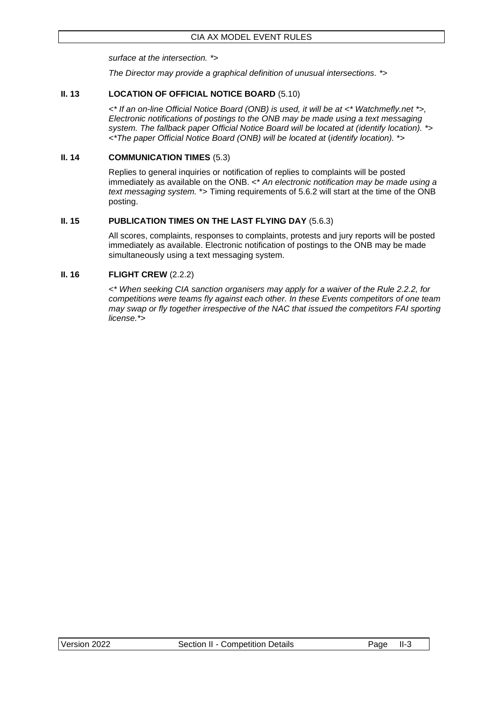*surface at the intersection. \*>*

*The Director may provide a graphical definition of unusual intersections. \*>*

### <span id="page-10-0"></span>**II. 13 LOCATION OF OFFICIAL NOTICE BOARD** (5.10)

*<\* If an on-line Official Notice Board (ONB) is used, it will be at <\* Watchmefly.net \*>, Electronic notifications of postings to the ONB may be made using a text messaging system. The fallback paper Official Notice Board will be located at (identify location). \*> <\*The paper Official Notice Board (ONB) will be located at* (*identify location).* \*>

### <span id="page-10-1"></span>**II. 14 COMMUNICATION TIMES** (5.3)

Replies to general inquiries or notification of replies to complaints will be posted immediately as available on the ONB. <\* *An electronic notification may be made using a text messaging system.* \*> Timing requirements of 5.6.2 will start at the time of the ONB posting.

### <span id="page-10-2"></span>**II. 15 PUBLICATION TIMES ON THE LAST FLYING DAY** (5.6.3)

All scores, complaints, responses to complaints, protests and jury reports will be posted immediately as available. Electronic notification of postings to the ONB may be made simultaneously using a text messaging system.

### <span id="page-10-3"></span>**II. 16 FLIGHT CREW** (2.2.2)

*<\* When seeking CIA sanction organisers may apply for a waiver of the Rule 2.2.2, for competitions were teams fly against each other. In these Events competitors of one team may swap or fly together irrespective of the NAC that issued the competitors FAI sporting license.\*>*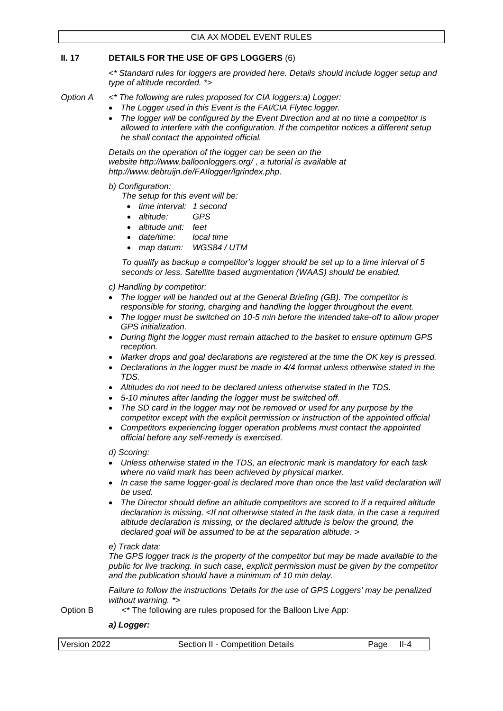### <span id="page-11-0"></span>**II. 17 DETAILS FOR THE USE OF GPS LOGGERS** (6)

*<\* Standard rules for loggers are provided here. Details should include logger setup and type of altitude recorded. \*>*

#### *Option A <\* The following are rules proposed for CIA loggers:a) Logger:*

- *The Logger used in this Event is the FAI/CIA Flytec logger.*
- *The logger will be configured by the Event Direction and at no time a competitor is allowed to interfere with the configuration. If the competitor notices a different setup he shall contact the appointed official.*

*Details on the operation of the logger can be seen on the website <http://www.balloonloggers.org/> , a tutorial is available at [http://www.debruijn.de/FAIlogger/lgrindex.php.](http://www.debruijn.de/FAIlogger/lgrindex.php)*

#### *b) Configuration:*

*The setup for this event will be:*

- *time interval: 1 second*
- *altitude: GPS*
- *altitude unit: feet*
- *date/time: local time*
- *map datum: WGS84 / UTM*

*To qualify as backup a competitor's logger should be set up to a time interval of 5 seconds or less. Satellite based augmentation (WAAS) should be enabled.* 

- *c) Handling by competitor:*
- *The logger will be handed out at the General Briefing (GB). The competitor is responsible for storing, charging and handling the logger throughout the event.*
- *The logger must be switched on 10-5 min before the intended take-off to allow proper GPS initialization.*
- *During flight the logger must remain attached to the basket to ensure optimum GPS reception.*
- *Marker drops and goal declarations are registered at the time the OK key is pressed.*
- *Declarations in the logger must be made in 4/4 format unless otherwise stated in the TDS.*
- *Altitudes do not need to be declared unless otherwise stated in the TDS.*
- *5-10 minutes after landing the logger must be switched off.*
- *The SD card in the logger may not be removed or used for any purpose by the competitor except with the explicit permission or instruction of the appointed official*
- *Competitors experiencing logger operation problems must contact the appointed official before any self-remedy is exercised.*

*d) Scoring:*

- *Unless otherwise stated in the TDS, an electronic mark is mandatory for each task where no valid mark has been achieved by physical marker.*
- *In case the same logger-goal is declared more than once the last valid declaration will be used.*
- *The Director should define an altitude competitors are scored to if a required altitude declaration is missing. <If not otherwise stated in the task data, in the case a required altitude declaration is missing, or the declared altitude is below the ground, the declared goal will be assumed to be at the separation altitude. >*

#### *e) Track data:*

*The GPS logger track is the property of the competitor but may be made available to the public for live tracking. In such case, explicit permission must be given by the competitor and the publication should have a minimum of 10 min delay.* 

*Failure to follow the instructions 'Details for the use of GPS Loggers' may be penalized without warning. \*>*

Option B <\* The following are rules proposed for the Balloon Live App:

### *a) Logger:*

| Version 2022 | Section II - Competition Details | Page II-4 |  |
|--------------|----------------------------------|-----------|--|
|              |                                  |           |  |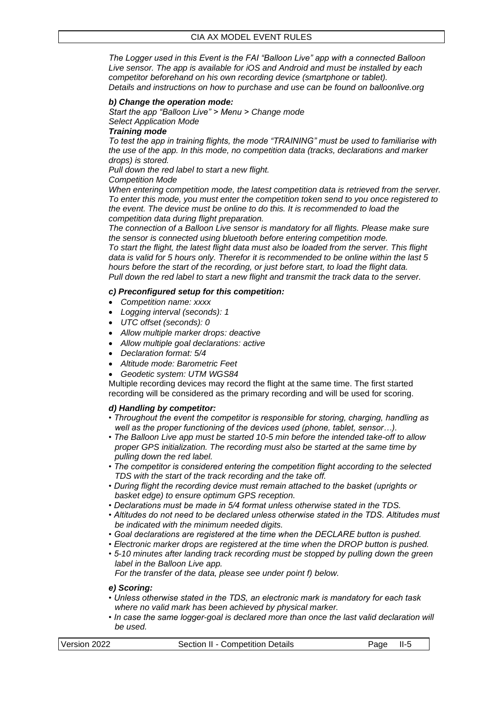*The Logger used in this Event is the FAI "Balloon Live" app with a connected Balloon Live sensor. The app is available for iOS and Android and must be installed by each competitor beforehand on his own recording device (smartphone or tablet). Details and instructions on how to purchase and use can be found on balloonlive.org*

#### *b) Change the operation mode:*

*Start the app "Balloon Live" > Menu > Change mode*

*Select Application Mode*

#### *Training mode*

*To test the app in training flights, the mode "TRAINING" must be used to familiarise with the use of the app. In this mode, no competition data (tracks, declarations and marker drops) is stored.*

*Pull down the red label to start a new flight.*

#### *Competition Mode*

*When entering competition mode, the latest competition data is retrieved from the server. To enter this mode, you must enter the competition token send to you once registered to the event. The device must be online to do this. It is recommended to load the competition data during flight preparation.*

*The connection of a Balloon Live sensor is mandatory for all flights. Please make sure the sensor is connected using bluetooth before entering competition mode.*

*To start the flight, the latest flight data must also be loaded from the server. This flight data is valid for 5 hours only. Therefor it is recommended to be online within the last 5 hours before the start of the recording, or just before start, to load the flight data. Pull down the red label to start a new flight and transmit the track data to the server.*

#### *c) Preconfigured setup for this competition:*

- *Competition name: xxxx*
- *Logging interval (seconds): 1*
- *UTC offset (seconds): 0*
- *Allow multiple marker drops: deactive*
- *Allow multiple goal declarations: active*
- *Declaration format: 5/4*
- *Altitude mode: Barometric Feet*
- *Geodetic system: UTM WGS84*

Multiple recording devices may record the flight at the same time. The first started recording will be considered as the primary recording and will be used for scoring.

### *d) Handling by competitor:*

- *Throughout the event the competitor is responsible for storing, charging, handling as well as the proper functioning of the devices used (phone, tablet, sensor…).*
- *The Balloon Live app must be started 10-5 min before the intended take-off to allow proper GPS initialization. The recording must also be started at the same time by pulling down the red label.*
- *The competitor is considered entering the competition flight according to the selected TDS with the start of the track recording and the take off.*
- *During flight the recording device must remain attached to the basket (uprights or basket edge) to ensure optimum GPS reception.*
- *Declarations must be made in 5/4 format unless otherwise stated in the TDS.*
- *Altitudes do not need to be declared unless otherwise stated in the TDS. Altitudes must be indicated with the minimum needed digits.*
- *Goal declarations are registered at the time when the DECLARE button is pushed.*
- *Electronic marker drops are registered at the time when the DROP button is pushed.*
- *5-10 minutes after landing track recording must be stopped by pulling down the green label in the Balloon Live app.*

*For the transfer of the data, please see under point f) below.*

#### *e) Scoring:*

- *Unless otherwise stated in the TDS, an electronic mark is mandatory for each task where no valid mark has been achieved by physical marker.*
- In case the same logger-goal is declared more than once the last valid declaration will *be used.*

| Version 2022 | Section II - Competition Details | Page II-5 |  |
|--------------|----------------------------------|-----------|--|
|              |                                  |           |  |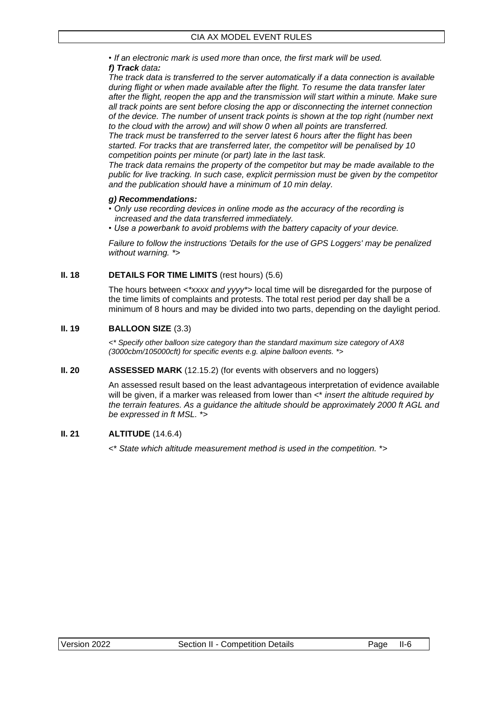*• If an electronic mark is used more than once, the first mark will be used.*

### *f) Track data:*

*The track data is transferred to the server automatically if a data connection is available during flight or when made available after the flight. To resume the data transfer later after the flight, reopen the app and the transmission will start within a minute. Make sure all track points are sent before closing the app or disconnecting the internet connection of the device. The number of unsent track points is shown at the top right (number next to the cloud with the arrow) and will show 0 when all points are transferred.*

*The track must be transferred to the server latest 6 hours after the flight has been started. For tracks that are transferred later, the competitor will be penalised by 10 competition points per minute (or part) late in the last task.*

*The track data remains the property of the competitor but may be made available to the public for live tracking. In such case, explicit permission must be given by the competitor and the publication should have a minimum of 10 min delay.*

### *g) Recommendations:*

- *Only use recording devices in online mode as the accuracy of the recording is increased and the data transferred immediately.*
- *Use a powerbank to avoid problems with the battery capacity of your device.*

*Failure to follow the instructions 'Details for the use of GPS Loggers' may be penalized without warning. \*>*

### <span id="page-13-0"></span>**II. 18 DETAILS FOR TIME LIMITS** (rest hours) (5.6)

The hours between *<\*xxxx and yyyy\*>* local time will be disregarded for the purpose of the time limits of complaints and protests. The total rest period per day shall be a minimum of 8 hours and may be divided into two parts, depending on the daylight period.

### <span id="page-13-1"></span>**II. 19 BALLOON SIZE** (3.3)

*<\* Specify other balloon size category than the standard maximum size category of AX8 (3000cbm/105000cft) for specific events e.g. alpine balloon events. \*>*

### <span id="page-13-2"></span>**II. 20 <b>ASSESSED MARK** (12.15.2) (for events with observers and no loggers)

An assessed result based on the least advantageous interpretation of evidence available will be given, if a marker was released from lower than <\* *insert the altitude required by the terrain features. As a guidance the altitude should be approximately 2000 ft AGL and be expressed in ft MSL.* \*>

### <span id="page-13-3"></span>**II. 21 ALTITUDE** (14.6.4)

<\* *State which altitude measurement method is used in the competition.* \*>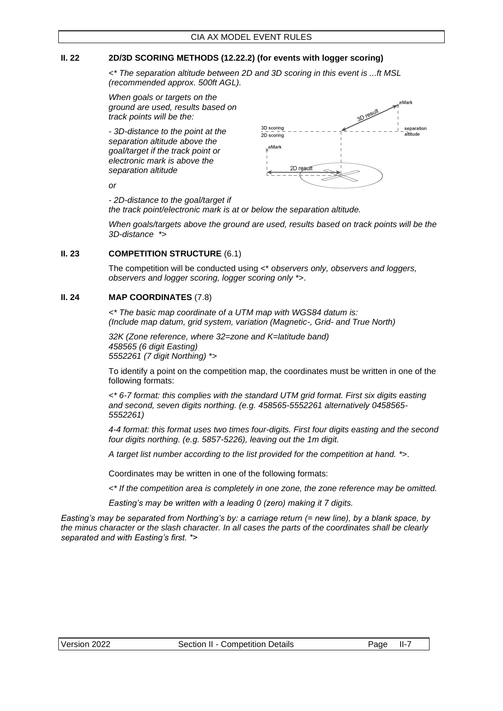### <span id="page-14-0"></span>**II. 22 2D/3D SCORING METHODS (12.22.2) (for events with logger scoring)**

*<\* The separation altitude between 2D and 3D scoring in this event is ...ft MSL (recommended approx. 500ft AGL).*

*When goals or targets on the ground are used, results based on track points will be the:*

*- 3D-distance to the point at the separation altitude above the goal/target if the track point or electronic mark is above the separation altitude*



*or*

*- 2D-distance to the goal/target if the track point/electronic mark is at or below the separation altitude.*

*When goals/targets above the ground are used, results based on track points will be the 3D-distance \*>*

#### <span id="page-14-1"></span>**II. 23 COMPETITION STRUCTURE** (6.1)

The competition will be conducted using <\* *observers only, observers and loggers, observers and logger scoring, logger scoring only \**>.

#### <span id="page-14-2"></span>**II. 24 MAP COORDINATES** (7.8)

*<\* The basic map coordinate of a UTM map with WGS84 datum is: (Include map datum, grid system, variation (Magnetic-, Grid- and True North)*

*32K (Zone reference, where 32=zone and K=latitude band) 458565 (6 digit Easting) 5552261 (7 digit Northing) \*>*

To identify a point on the competition map, the coordinates must be written in one of the following formats:

*<\* 6-7 format: this complies with the standard UTM grid format. First six digits easting and second, seven digits northing. (e.g. 458565-5552261 alternatively 0458565- 5552261)*

*4-4 format: this format uses two times four-digits. First four digits easting and the second four digits northing. (e.g. 5857-5226), leaving out the 1m digit.*

*A target list number according to the list provided for the competition at hand. \**>.

Coordinates may be written in one of the following formats:

*<\* If the competition area is completely in one zone, the zone reference may be omitted.* 

*Easting's may be written with a leading 0 (zero) making it 7 digits.*

*Easting's may be separated from Northing's by: a carriage return (= new line), by a blank space, by the minus character or the slash character. In all cases the parts of the coordinates shall be clearly separated and with Easting's first. \*>*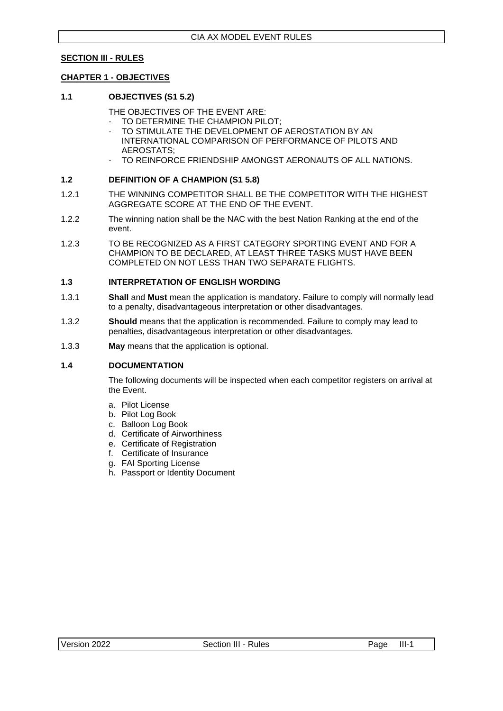### <span id="page-15-0"></span>**SECTION III - RULES**

#### <span id="page-15-1"></span>**CHAPTER 1 - OBJECTIVES**

#### <span id="page-15-2"></span>**1.1 OBJECTIVES (S1 5.2)**

THE OBJECTIVES OF THE EVENT ARE:

- TO DETERMINE THE CHAMPION PILOT;
- TO STIMULATE THE DEVELOPMENT OF AEROSTATION BY AN INTERNATIONAL COMPARISON OF PERFORMANCE OF PILOTS AND AEROSTATS;
- TO REINFORCE FRIENDSHIP AMONGST AERONAUTS OF ALL NATIONS.

#### <span id="page-15-3"></span>**1.2 DEFINITION OF A CHAMPION (S1 5.8)**

- 1.2.1 THE WINNING COMPETITOR SHALL BE THE COMPETITOR WITH THE HIGHEST AGGREGATE SCORE AT THE END OF THE EVENT.
- 1.2.2 The winning nation shall be the NAC with the best Nation Ranking at the end of the event.
- 1.2.3 TO BE RECOGNIZED AS A FIRST CATEGORY SPORTING EVENT AND FOR A CHAMPION TO BE DECLARED, AT LEAST THREE TASKS MUST HAVE BEEN COMPLETED ON NOT LESS THAN TWO SEPARATE FLIGHTS.

#### <span id="page-15-4"></span>**1.3 INTERPRETATION OF ENGLISH WORDING**

- 1.3.1 **Shall** and **Must** mean the application is mandatory. Failure to comply will normally lead to a penalty, disadvantageous interpretation or other disadvantages.
- 1.3.2 **Should** means that the application is recommended. Failure to comply may lead to penalties, disadvantageous interpretation or other disadvantages.
- 1.3.3 **May** means that the application is optional.

#### <span id="page-15-5"></span>**1.4 DOCUMENTATION**

The following documents will be inspected when each competitor registers on arrival at the Event.

- a. Pilot License
- b. Pilot Log Book
- c. Balloon Log Book
- d. Certificate of Airworthiness
- e. Certificate of Registration
- f. Certificate of Insurance
- g. FAI Sporting License
- h. Passport or Identity Document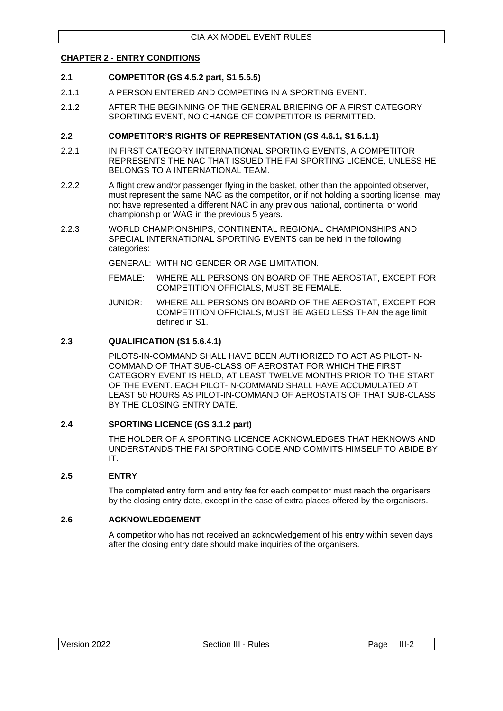### <span id="page-16-0"></span>**CHAPTER 2 - ENTRY CONDITIONS**

### <span id="page-16-1"></span>**2.1 COMPETITOR (GS 4.5.2 part, S1 5.5.5)**

- 2.1.1 A PERSON ENTERED AND COMPETING IN A SPORTING EVENT.
- 2.1.2 AFTER THE BEGINNING OF THE GENERAL BRIEFING OF A FIRST CATEGORY SPORTING EVENT, NO CHANGE OF COMPETITOR IS PERMITTED.

### <span id="page-16-2"></span>**2.2 COMPETITOR'S RIGHTS OF REPRESENTATION (GS 4.6.1, S1 5.1.1)**

- 2.2.1 IN FIRST CATEGORY INTERNATIONAL SPORTING EVENTS, A COMPETITOR REPRESENTS THE NAC THAT ISSUED THE FAI SPORTING LICENCE, UNLESS HE BELONGS TO A INTERNATIONAL TEAM.
- 2.2.2 A flight crew and/or passenger flying in the basket, other than the appointed observer, must represent the same NAC as the competitor, or if not holding a sporting license, may not have represented a different NAC in any previous national, continental or world championship or WAG in the previous 5 years.
- 2.2.3 WORLD CHAMPIONSHIPS, CONTINENTAL REGIONAL CHAMPIONSHIPS AND SPECIAL INTERNATIONAL SPORTING EVENTS can be held in the following categories:

GENERAL: WITH NO GENDER OR AGE LIMITATION.

- FEMALE: WHERE ALL PERSONS ON BOARD OF THE AEROSTAT, EXCEPT FOR COMPETITION OFFICIALS, MUST BE FEMALE.
- JUNIOR: WHERE ALL PERSONS ON BOARD OF THE AEROSTAT, EXCEPT FOR COMPETITION OFFICIALS, MUST BE AGED LESS THAN the age limit defined in S1.

#### <span id="page-16-3"></span>**2.3 QUALIFICATION (S1 5.6.4.1)**

PILOTS-IN-COMMAND SHALL HAVE BEEN AUTHORIZED TO ACT AS PILOT-IN-COMMAND OF THAT SUB-CLASS OF AEROSTAT FOR WHICH THE FIRST CATEGORY EVENT IS HELD, AT LEAST TWELVE MONTHS PRIOR TO THE START OF THE EVENT. EACH PILOT-IN-COMMAND SHALL HAVE ACCUMULATED AT LEAST 50 HOURS AS PILOT-IN-COMMAND OF AEROSTATS OF THAT SUB-CLASS BY THE CLOSING ENTRY DATE.

### <span id="page-16-4"></span>**2.4 SPORTING LICENCE (GS 3.1.2 part)**

THE HOLDER OF A SPORTING LICENCE ACKNOWLEDGES THAT HEKNOWS AND UNDERSTANDS THE FAI SPORTING CODE AND COMMITS HIMSELF TO ABIDE BY IT.

### <span id="page-16-5"></span>**2.5 ENTRY**

The completed entry form and entry fee for each competitor must reach the organisers by the closing entry date, except in the case of extra places offered by the organisers.

### <span id="page-16-6"></span>**2.6 ACKNOWLEDGEMENT**

A competitor who has not received an acknowledgement of his entry within seven days after the closing entry date should make inquiries of the organisers.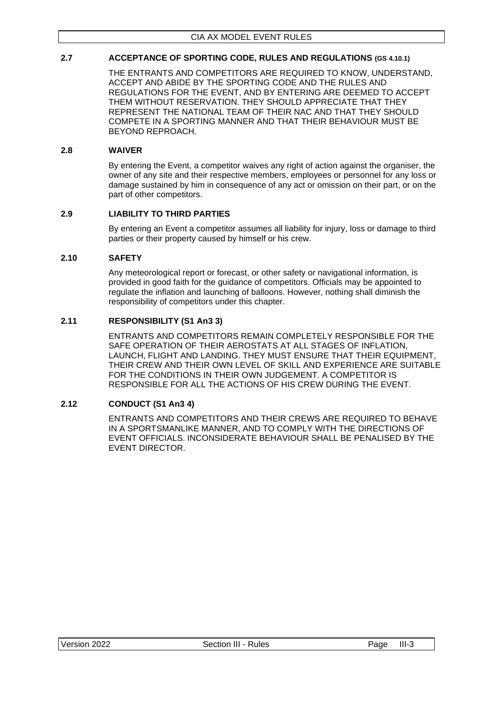### <span id="page-17-0"></span>**2.7 ACCEPTANCE OF SPORTING CODE, RULES AND REGULATIONS (GS 4.10.1)**

THE ENTRANTS AND COMPETITORS ARE REQUIRED TO KNOW, UNDERSTAND, ACCEPT AND ABIDE BY THE SPORTING CODE AND THE RULES AND REGULATIONS FOR THE EVENT, AND BY ENTERING ARE DEEMED TO ACCEPT THEM WITHOUT RESERVATION. THEY SHOULD APPRECIATE THAT THEY REPRESENT THE NATIONAL TEAM OF THEIR NAC AND THAT THEY SHOULD COMPETE IN A SPORTING MANNER AND THAT THEIR BEHAVIOUR MUST BE BEYOND REPROACH.

### <span id="page-17-1"></span>**2.8 WAIVER**

By entering the Event, a competitor waives any right of action against the organiser, the owner of any site and their respective members, employees or personnel for any loss or damage sustained by him in consequence of any act or omission on their part, or on the part of other competitors.

### <span id="page-17-2"></span>**2.9 LIABILITY TO THIRD PARTIES**

By entering an Event a competitor assumes all liability for injury, loss or damage to third parties or their property caused by himself or his crew.

### <span id="page-17-3"></span>**2.10 SAFETY**

Any meteorological report or forecast, or other safety or navigational information, is provided in good faith for the guidance of competitors. Officials may be appointed to regulate the inflation and launching of balloons. However, nothing shall diminish the responsibility of competitors under this chapter.

### <span id="page-17-4"></span>**2.11 RESPONSIBILITY (S1 An3 3)**

ENTRANTS AND COMPETITORS REMAIN COMPLETELY RESPONSIBLE FOR THE SAFE OPERATION OF THEIR AEROSTATS AT ALL STAGES OF INFLATION, LAUNCH, FLIGHT AND LANDING. THEY MUST ENSURE THAT THEIR EQUIPMENT, THEIR CREW AND THEIR OWN LEVEL OF SKILL AND EXPERIENCE ARE SUITABLE FOR THE CONDITIONS IN THEIR OWN JUDGEMENT. A COMPETITOR IS RESPONSIBLE FOR ALL THE ACTIONS OF HIS CREW DURING THE EVENT.

### <span id="page-17-5"></span>**2.12 CONDUCT (S1 An3 4)**

ENTRANTS AND COMPETITORS AND THEIR CREWS ARE REQUIRED TO BEHAVE IN A SPORTSMANLIKE MANNER, AND TO COMPLY WITH THE DIRECTIONS OF EVENT OFFICIALS. INCONSIDERATE BEHAVIOUR SHALL BE PENALISED BY THE EVENT DIRECTOR.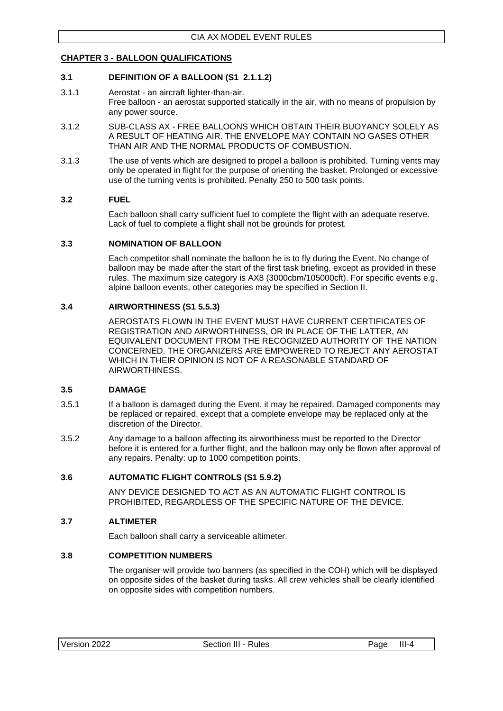### <span id="page-18-0"></span>**CHAPTER 3 - BALLOON QUALIFICATIONS**

### <span id="page-18-1"></span>**3.1 DEFINITION OF A BALLOON (S1 2.1.1.2)**

- 3.1.1 Aerostat an aircraft lighter-than-air. Free balloon - an aerostat supported statically in the air, with no means of propulsion by any power source.
- 3.1.2 SUB-CLASS AX FREE BALLOONS WHICH OBTAIN THEIR BUOYANCY SOLELY AS A RESULT OF HEATING AIR. THE ENVELOPE MAY CONTAIN NO GASES OTHER THAN AIR AND THE NORMAL PRODUCTS OF COMBUSTION.
- 3.1.3 The use of vents which are designed to propel a balloon is prohibited. Turning vents may only be operated in flight for the purpose of orienting the basket. Prolonged or excessive use of the turning vents is prohibited. Penalty 250 to 500 task points.

### <span id="page-18-2"></span>**3.2 FUEL**

Each balloon shall carry sufficient fuel to complete the flight with an adequate reserve. Lack of fuel to complete a flight shall not be grounds for protest.

#### <span id="page-18-3"></span>**3.3 NOMINATION OF BALLOON**

Each competitor shall nominate the balloon he is to fly during the Event. No change of balloon may be made after the start of the first task briefing, except as provided in these rules. The maximum size category is AX8 (3000cbm/105000cft). For specific events e.g. alpine balloon events, other categories may be specified in Section II.

### <span id="page-18-4"></span>**3.4 AIRWORTHINESS (S1 5.5.3)**

AEROSTATS FLOWN IN THE EVENT MUST HAVE CURRENT CERTIFICATES OF REGISTRATION AND AIRWORTHINESS, OR IN PLACE OF THE LATTER, AN EQUIVALENT DOCUMENT FROM THE RECOGNIZED AUTHORITY OF THE NATION CONCERNED. THE ORGANIZERS ARE EMPOWERED TO REJECT ANY AEROSTAT WHICH IN THEIR OPINION IS NOT OF A REASONABLE STANDARD OF AIRWORTHINESS.

### <span id="page-18-5"></span>**3.5 DAMAGE**

- 3.5.1 If a balloon is damaged during the Event, it may be repaired. Damaged components may be replaced or repaired, except that a complete envelope may be replaced only at the discretion of the Director.
- 3.5.2 Any damage to a balloon affecting its airworthiness must be reported to the Director before it is entered for a further flight, and the balloon may only be flown after approval of any repairs. Penalty: up to 1000 competition points.

### <span id="page-18-6"></span>**3.6 AUTOMATIC FLIGHT CONTROLS (S1 5.9.2)**

ANY DEVICE DESIGNED TO ACT AS AN AUTOMATIC FLIGHT CONTROL IS PROHIBITED, REGARDLESS OF THE SPECIFIC NATURE OF THE DEVICE.

### <span id="page-18-7"></span>**3.7 ALTIMETER**

Each balloon shall carry a serviceable altimeter.

### <span id="page-18-8"></span>**3.8 COMPETITION NUMBERS**

The organiser will provide two banners (as specified in the COH) which will be displayed on opposite sides of the basket during tasks. All crew vehicles shall be clearly identified on opposite sides with competition numbers.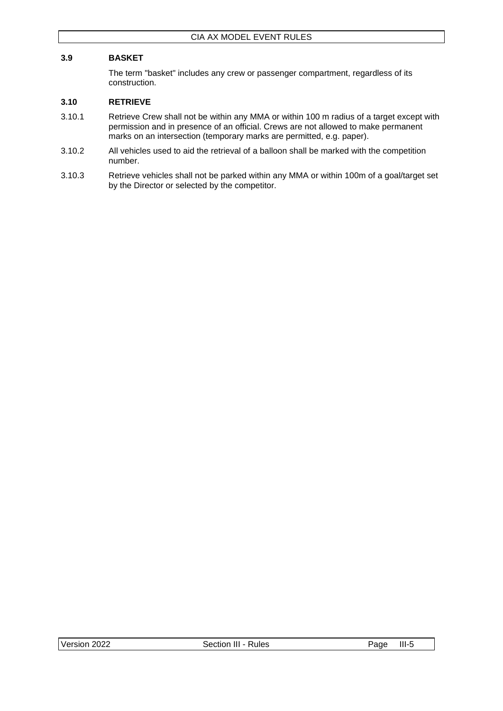### <span id="page-19-0"></span>**3.9 BASKET**

The term "basket" includes any crew or passenger compartment, regardless of its construction.

### <span id="page-19-1"></span>**3.10 RETRIEVE**

- 3.10.1 Retrieve Crew shall not be within any MMA or within 100 m radius of a target except with permission and in presence of an official. Crews are not allowed to make permanent marks on an intersection (temporary marks are permitted, e.g. paper).
- 3.10.2 All vehicles used to aid the retrieval of a balloon shall be marked with the competition number.
- 3.10.3 Retrieve vehicles shall not be parked within any MMA or within 100m of a goal/target set by the Director or selected by the competitor.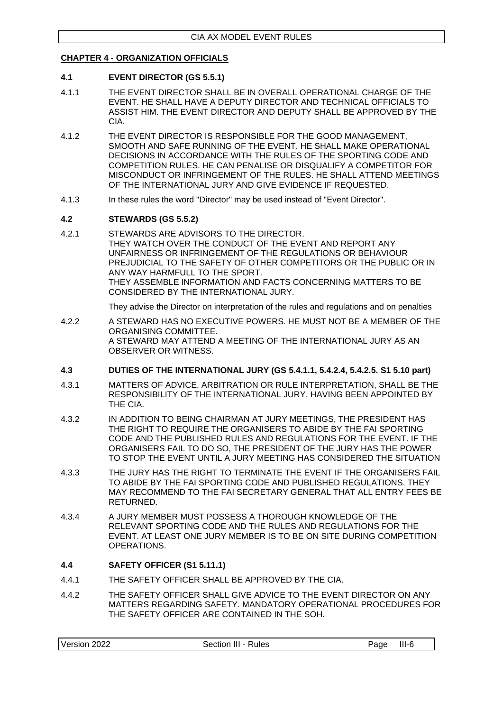### <span id="page-20-0"></span>**CHAPTER 4 - ORGANIZATION OFFICIALS**

### <span id="page-20-1"></span>**4.1 EVENT DIRECTOR (GS 5.5.1)**

- 4.1.1 THE EVENT DIRECTOR SHALL BE IN OVERALL OPERATIONAL CHARGE OF THE EVENT. HE SHALL HAVE A DEPUTY DIRECTOR AND TECHNICAL OFFICIALS TO ASSIST HIM. THE EVENT DIRECTOR AND DEPUTY SHALL BE APPROVED BY THE CIA.
- 4.1.2 THE EVENT DIRECTOR IS RESPONSIBLE FOR THE GOOD MANAGEMENT, SMOOTH AND SAFE RUNNING OF THE EVENT. HE SHALL MAKE OPERATIONAL DECISIONS IN ACCORDANCE WITH THE RULES OF THE SPORTING CODE AND COMPETITION RULES. HE CAN PENALISE OR DISQUALIFY A COMPETITOR FOR MISCONDUCT OR INFRINGEMENT OF THE RULES. HE SHALL ATTEND MEETINGS OF THE INTERNATIONAL JURY AND GIVE EVIDENCE IF REQUESTED.
- 4.1.3 In these rules the word "Director" may be used instead of "Event Director".

### <span id="page-20-2"></span>**4.2 STEWARDS (GS 5.5.2)**

4.2.1 STEWARDS ARE ADVISORS TO THE DIRECTOR. THEY WATCH OVER THE CONDUCT OF THE EVENT AND REPORT ANY UNFAIRNESS OR INFRINGEMENT OF THE REGULATIONS OR BEHAVIOUR PREJUDICIAL TO THE SAFETY OF OTHER COMPETITORS OR THE PUBLIC OR IN ANY WAY HARMFULL TO THE SPORT. THEY ASSEMBLE INFORMATION AND FACTS CONCERNING MATTERS TO BE CONSIDERED BY THE INTERNATIONAL JURY.

They advise the Director on interpretation of the rules and regulations and on penalties

4.2.2 A STEWARD HAS NO EXECUTIVE POWERS. HE MUST NOT BE A MEMBER OF THE ORGANISING COMMITTEE. A STEWARD MAY ATTEND A MEETING OF THE INTERNATIONAL JURY AS AN OBSERVER OR WITNESS.

### <span id="page-20-3"></span>**4.3 DUTIES OF THE INTERNATIONAL JURY (GS 5.4.1.1, 5.4.2.4, 5.4.2.5. S1 5.10 part)**

- 4.3.1 MATTERS OF ADVICE, ARBITRATION OR RULE INTERPRETATION, SHALL BE THE RESPONSIBILITY OF THE INTERNATIONAL JURY, HAVING BEEN APPOINTED BY THE CIA.
- 4.3.2 IN ADDITION TO BEING CHAIRMAN AT JURY MEETINGS, THE PRESIDENT HAS THE RIGHT TO REQUIRE THE ORGANISERS TO ABIDE BY THE FAI SPORTING CODE AND THE PUBLISHED RULES AND REGULATIONS FOR THE EVENT. IF THE ORGANISERS FAIL TO DO SO, THE PRESIDENT OF THE JURY HAS THE POWER TO STOP THE EVENT UNTIL A JURY MEETING HAS CONSIDERED THE SITUATION
- 4.3.3 THE JURY HAS THE RIGHT TO TERMINATE THE EVENT IF THE ORGANISERS FAIL TO ABIDE BY THE FAI SPORTING CODE AND PUBLISHED REGULATIONS. THEY MAY RECOMMEND TO THE FAI SECRETARY GENERAL THAT ALL ENTRY FEES BE RETURNED.
- 4.3.4 A JURY MEMBER MUST POSSESS A THOROUGH KNOWLEDGE OF THE RELEVANT SPORTING CODE AND THE RULES AND REGULATIONS FOR THE EVENT. AT LEAST ONE JURY MEMBER IS TO BE ON SITE DURING COMPETITION OPERATIONS.

### <span id="page-20-4"></span>**4.4 SAFETY OFFICER (S1 5.11.1)**

- 4.4.1 THE SAFETY OFFICER SHALL BE APPROVED BY THE CIA.
- 4.4.2 THE SAFETY OFFICER SHALL GIVE ADVICE TO THE EVENT DIRECTOR ON ANY MATTERS REGARDING SAFETY. MANDATORY OPERATIONAL PROCEDURES FOR THE SAFETY OFFICER ARE CONTAINED IN THE SOH.

|  | 2022<br>Version | Rules<br>Sectior<br>Ш | $III-6$<br>'age |
|--|-----------------|-----------------------|-----------------|
|--|-----------------|-----------------------|-----------------|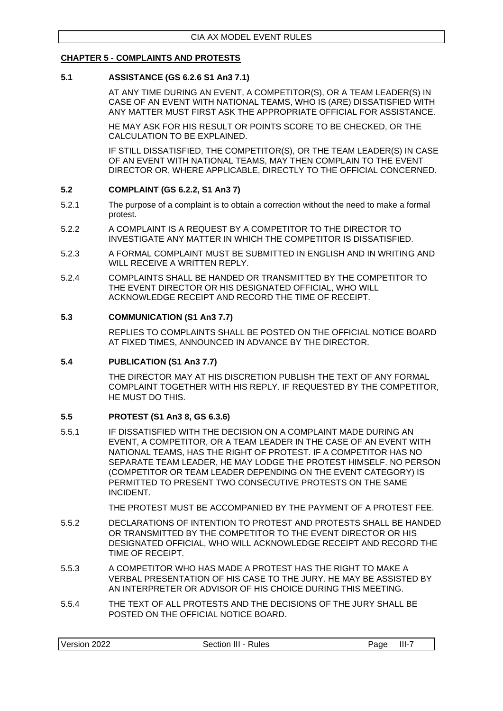### <span id="page-21-0"></span>**CHAPTER 5 - COMPLAINTS AND PROTESTS**

#### <span id="page-21-1"></span>**5.1 ASSISTANCE (GS 6.2.6 S1 An3 7.1)**

AT ANY TIME DURING AN EVENT, A COMPETITOR(S), OR A TEAM LEADER(S) IN CASE OF AN EVENT WITH NATIONAL TEAMS, WHO IS (ARE) DISSATISFIED WITH ANY MATTER MUST FIRST ASK THE APPROPRIATE OFFICIAL FOR ASSISTANCE.

HE MAY ASK FOR HIS RESULT OR POINTS SCORE TO BE CHECKED, OR THE CALCULATION TO BE EXPLAINED.

IF STILL DISSATISFIED, THE COMPETITOR(S), OR THE TEAM LEADER(S) IN CASE OF AN EVENT WITH NATIONAL TEAMS, MAY THEN COMPLAIN TO THE EVENT DIRECTOR OR, WHERE APPLICABLE, DIRECTLY TO THE OFFICIAL CONCERNED.

### <span id="page-21-2"></span>**5.2 COMPLAINT (GS 6.2.2, S1 An3 7)**

- 5.2.1 The purpose of a complaint is to obtain a correction without the need to make a formal protest.
- 5.2.2 A COMPLAINT IS A REQUEST BY A COMPETITOR TO THE DIRECTOR TO INVESTIGATE ANY MATTER IN WHICH THE COMPETITOR IS DISSATISFIED.
- 5.2.3 A FORMAL COMPLAINT MUST BE SUBMITTED IN ENGLISH AND IN WRITING AND WILL RECEIVE A WRITTEN REPLY.
- 5.2.4 COMPLAINTS SHALL BE HANDED OR TRANSMITTED BY THE COMPETITOR TO THE EVENT DIRECTOR OR HIS DESIGNATED OFFICIAL, WHO WILL ACKNOWLEDGE RECEIPT AND RECORD THE TIME OF RECEIPT.

### <span id="page-21-3"></span>**5.3 COMMUNICATION (S1 An3 7.7)**

REPLIES TO COMPLAINTS SHALL BE POSTED ON THE OFFICIAL NOTICE BOARD AT FIXED TIMES, ANNOUNCED IN ADVANCE BY THE DIRECTOR.

### <span id="page-21-4"></span>**5.4 PUBLICATION (S1 An3 7.7)**

THE DIRECTOR MAY AT HIS DISCRETION PUBLISH THE TEXT OF ANY FORMAL COMPLAINT TOGETHER WITH HIS REPLY. IF REQUESTED BY THE COMPETITOR, HE MUST DO THIS.

### <span id="page-21-5"></span>**5.5 PROTEST (S1 An3 8, GS 6.3.6)**

5.5.1 IF DISSATISFIED WITH THE DECISION ON A COMPLAINT MADE DURING AN EVENT, A COMPETITOR, OR A TEAM LEADER IN THE CASE OF AN EVENT WITH NATIONAL TEAMS, HAS THE RIGHT OF PROTEST. IF A COMPETITOR HAS NO SEPARATE TEAM LEADER, HE MAY LODGE THE PROTEST HIMSELF. NO PERSON (COMPETITOR OR TEAM LEADER DEPENDING ON THE EVENT CATEGORY) IS PERMITTED TO PRESENT TWO CONSECUTIVE PROTESTS ON THE SAME INCIDENT.

THE PROTEST MUST BE ACCOMPANIED BY THE PAYMENT OF A PROTEST FEE.

- 5.5.2 DECLARATIONS OF INTENTION TO PROTEST AND PROTESTS SHALL BE HANDED OR TRANSMITTED BY THE COMPETITOR TO THE EVENT DIRECTOR OR HIS DESIGNATED OFFICIAL, WHO WILL ACKNOWLEDGE RECEIPT AND RECORD THE TIME OF RECEIPT.
- 5.5.3 A COMPETITOR WHO HAS MADE A PROTEST HAS THE RIGHT TO MAKE A VERBAL PRESENTATION OF HIS CASE TO THE JURY. HE MAY BE ASSISTED BY AN INTERPRETER OR ADVISOR OF HIS CHOICE DURING THIS MEETING.
- 5.5.4 THE TEXT OF ALL PROTESTS AND THE DECISIONS OF THE JURY SHALL BE POSTED ON THE OFFICIAL NOTICE BOARD.

| Version<br>Section III - Rules<br>2022 | III-<br>Page |
|----------------------------------------|--------------|
|----------------------------------------|--------------|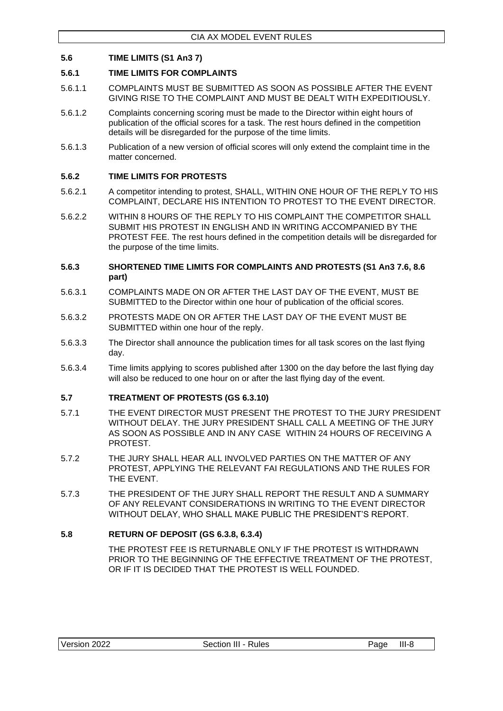### <span id="page-22-0"></span>**5.6 TIME LIMITS (S1 An3 7)**

### <span id="page-22-1"></span>**5.6.1 TIME LIMITS FOR COMPLAINTS**

- 5.6.1.1 COMPLAINTS MUST BE SUBMITTED AS SOON AS POSSIBLE AFTER THE EVENT GIVING RISE TO THE COMPLAINT AND MUST BE DEALT WITH EXPEDITIOUSLY.
- 5.6.1.2 Complaints concerning scoring must be made to the Director within eight hours of publication of the official scores for a task. The rest hours defined in the competition details will be disregarded for the purpose of the time limits.
- 5.6.1.3 Publication of a new version of official scores will only extend the complaint time in the matter concerned.

### <span id="page-22-2"></span>**5.6.2 TIME LIMITS FOR PROTESTS**

- 5.6.2.1 A competitor intending to protest, SHALL, WITHIN ONE HOUR OF THE REPLY TO HIS COMPLAINT, DECLARE HIS INTENTION TO PROTEST TO THE EVENT DIRECTOR.
- 5.6.2.2 WITHIN 8 HOURS OF THE REPLY TO HIS COMPLAINT THE COMPETITOR SHALL SUBMIT HIS PROTEST IN ENGLISH AND IN WRITING ACCOMPANIED BY THE PROTEST FEE. The rest hours defined in the competition details will be disregarded for the purpose of the time limits.

#### <span id="page-22-3"></span>**5.6.3 SHORTENED TIME LIMITS FOR COMPLAINTS AND PROTESTS (S1 An3 7.6, 8.6 part)**

- 5.6.3.1 COMPLAINTS MADE ON OR AFTER THE LAST DAY OF THE EVENT, MUST BE SUBMITTED to the Director within one hour of publication of the official scores.
- 5.6.3.2 PROTESTS MADE ON OR AFTER THE LAST DAY OF THE EVENT MUST BE SUBMITTED within one hour of the reply.
- 5.6.3.3 The Director shall announce the publication times for all task scores on the last flying day.
- 5.6.3.4 Time limits applying to scores published after 1300 on the day before the last flying day will also be reduced to one hour on or after the last flying day of the event.

### <span id="page-22-4"></span>**5.7 TREATMENT OF PROTESTS (GS 6.3.10)**

- 5.7.1 THE EVENT DIRECTOR MUST PRESENT THE PROTEST TO THE JURY PRESIDENT WITHOUT DELAY. THE JURY PRESIDENT SHALL CALL A MEETING OF THE JURY AS SOON AS POSSIBLE AND IN ANY CASE WITHIN 24 HOURS OF RECEIVING A PROTEST.
- 5.7.2 THE JURY SHALL HEAR ALL INVOLVED PARTIES ON THE MATTER OF ANY PROTEST, APPLYING THE RELEVANT FAI REGULATIONS AND THE RULES FOR THE EVENT.
- 5.7.3 THE PRESIDENT OF THE JURY SHALL REPORT THE RESULT AND A SUMMARY OF ANY RELEVANT CONSIDERATIONS IN WRITING TO THE EVENT DIRECTOR WITHOUT DELAY, WHO SHALL MAKE PUBLIC THE PRESIDENT'S REPORT.

### <span id="page-22-5"></span>**5.8 RETURN OF DEPOSIT (GS 6.3.8, 6.3.4)**

THE PROTEST FEE IS RETURNABLE ONLY IF THE PROTEST IS WITHDRAWN PRIOR TO THE BEGINNING OF THE EFFECTIVE TREATMENT OF THE PROTEST, OR IF IT IS DECIDED THAT THE PROTEST IS WELL FOUNDED.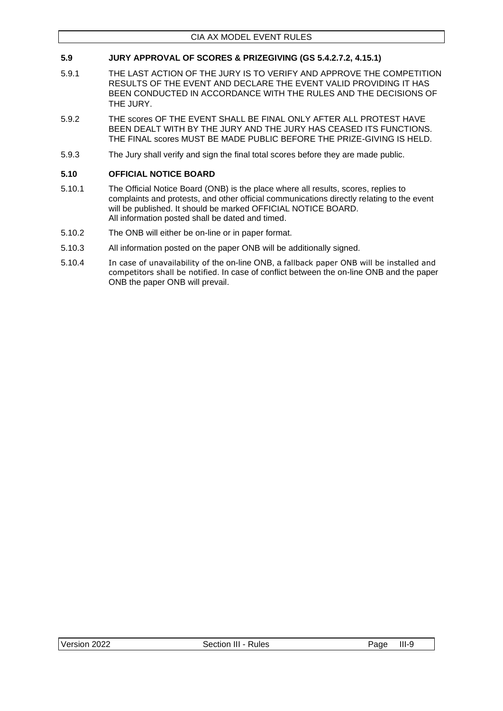### <span id="page-23-0"></span>**5.9 JURY APPROVAL OF SCORES & PRIZEGIVING (GS 5.4.2.7.2, 4.15.1)**

- 5.9.1 THE LAST ACTION OF THE JURY IS TO VERIFY AND APPROVE THE COMPETITION RESULTS OF THE EVENT AND DECLARE THE EVENT VALID PROVIDING IT HAS BEEN CONDUCTED IN ACCORDANCE WITH THE RULES AND THE DECISIONS OF THE JURY.
- 5.9.2 THE scores OF THE EVENT SHALL BE FINAL ONLY AFTER ALL PROTEST HAVE BEEN DEALT WITH BY THE JURY AND THE JURY HAS CEASED ITS FUNCTIONS. THE FINAL scores MUST BE MADE PUBLIC BEFORE THE PRIZE-GIVING IS HELD.
- 5.9.3 The Jury shall verify and sign the final total scores before they are made public.

### <span id="page-23-1"></span>**5.10 OFFICIAL NOTICE BOARD**

- 5.10.1 The Official Notice Board (ONB) is the place where all results, scores, replies to complaints and protests, and other official communications directly relating to the event will be published. It should be marked OFFICIAL NOTICE BOARD. All information posted shall be dated and timed.
- 5.10.2 The ONB will either be on-line or in paper format.
- 5.10.3 All information posted on the paper ONB will be additionally signed.
- 5.10.4 In case of unavailability of the on-line ONB, a fallback paper ONB will be installed and competitors shall be notified. In case of conflict between the on-line ONB and the paper ONB the paper ONB will prevail.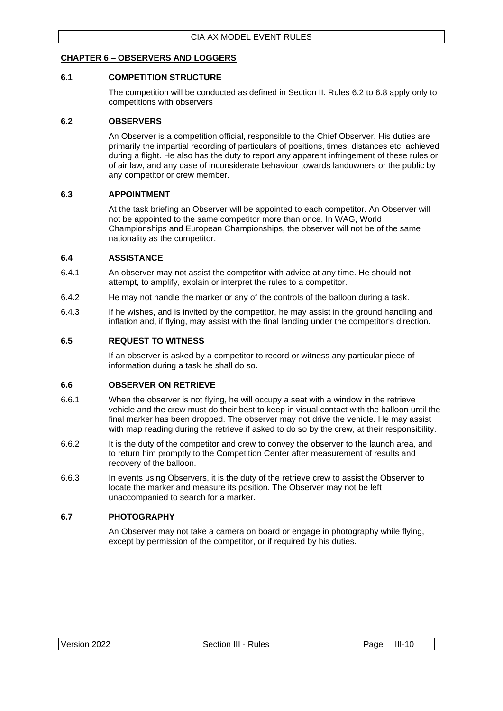### <span id="page-24-0"></span>**CHAPTER 6 – OBSERVERS AND LOGGERS**

### <span id="page-24-1"></span>**6.1 COMPETITION STRUCTURE**

The competition will be conducted as defined in Section II. Rules 6.2 to 6.8 apply only to competitions with observers

#### <span id="page-24-2"></span>**6.2 OBSERVERS**

An Observer is a competition official, responsible to the Chief Observer. His duties are primarily the impartial recording of particulars of positions, times, distances etc. achieved during a flight. He also has the duty to report any apparent infringement of these rules or of air law, and any case of inconsiderate behaviour towards landowners or the public by any competitor or crew member.

### <span id="page-24-3"></span>**6.3 APPOINTMENT**

At the task briefing an Observer will be appointed to each competitor. An Observer will not be appointed to the same competitor more than once. In WAG, World Championships and European Championships, the observer will not be of the same nationality as the competitor.

#### <span id="page-24-4"></span>**6.4 ASSISTANCE**

- 6.4.1 An observer may not assist the competitor with advice at any time. He should not attempt, to amplify, explain or interpret the rules to a competitor.
- 6.4.2 He may not handle the marker or any of the controls of the balloon during a task.
- 6.4.3 If he wishes, and is invited by the competitor, he may assist in the ground handling and inflation and, if flying, may assist with the final landing under the competitor's direction.

#### <span id="page-24-5"></span>**6.5 REQUEST TO WITNESS**

If an observer is asked by a competitor to record or witness any particular piece of information during a task he shall do so.

#### <span id="page-24-6"></span>**6.6 OBSERVER ON RETRIEVE**

- 6.6.1 When the observer is not flying, he will occupy a seat with a window in the retrieve vehicle and the crew must do their best to keep in visual contact with the balloon until the final marker has been dropped. The observer may not drive the vehicle. He may assist with map reading during the retrieve if asked to do so by the crew, at their responsibility.
- 6.6.2 It is the duty of the competitor and crew to convey the observer to the launch area, and to return him promptly to the Competition Center after measurement of results and recovery of the balloon.
- 6.6.3 In events using Observers, it is the duty of the retrieve crew to assist the Observer to locate the marker and measure its position. The Observer may not be left unaccompanied to search for a marker.

### <span id="page-24-7"></span>**6.7 PHOTOGRAPHY**

An Observer may not take a camera on board or engage in photography while flying, except by permission of the competitor, or if required by his duties.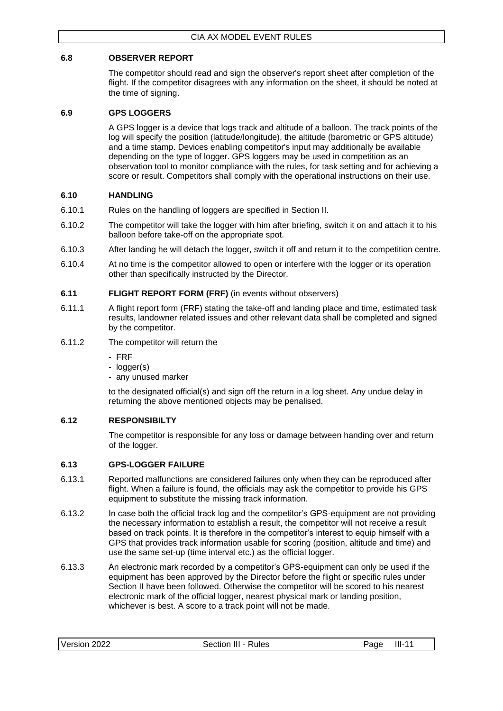### <span id="page-25-0"></span>**6.8 OBSERVER REPORT**

The competitor should read and sign the observer's report sheet after completion of the flight. If the competitor disagrees with any information on the sheet, it should be noted at the time of signing.

### <span id="page-25-1"></span>**6.9 GPS LOGGERS**

A GPS logger is a device that logs track and altitude of a balloon. The track points of the log will specify the position (latitude/longitude), the altitude (barometric or GPS altitude) and a time stamp. Devices enabling competitor's input may additionally be available depending on the type of logger. GPS loggers may be used in competition as an observation tool to monitor compliance with the rules, for task setting and for achieving a score or result. Competitors shall comply with the operational instructions on their use.

### <span id="page-25-2"></span>**6.10 HANDLING**

- 6.10.1 Rules on the handling of loggers are specified in Section II.
- 6.10.2 The competitor will take the logger with him after briefing, switch it on and attach it to his balloon before take-off on the appropriate spot.
- 6.10.3 After landing he will detach the logger, switch it off and return it to the competition centre.
- 6.10.4 At no time is the competitor allowed to open or interfere with the logger or its operation other than specifically instructed by the Director.

### <span id="page-25-3"></span>**6.11 FLIGHT REPORT FORM (FRF)** (in events without observers)

- 6.11.1 A flight report form (FRF) stating the take-off and landing place and time, estimated task results, landowner related issues and other relevant data shall be completed and signed by the competitor.
- 6.11.2 The competitor will return the
	- FRF
	- logger(s)
	- any unused marker

to the designated official(s) and sign off the return in a log sheet. Any undue delay in returning the above mentioned objects may be penalised.

### <span id="page-25-4"></span>**6.12 RESPONSIBILTY**

The competitor is responsible for any loss or damage between handing over and return of the logger.

### <span id="page-25-5"></span>**6.13 GPS-LOGGER FAILURE**

- 6.13.1 Reported malfunctions are considered failures only when they can be reproduced after flight. When a failure is found, the officials may ask the competitor to provide his GPS equipment to substitute the missing track information.
- 6.13.2 In case both the official track log and the competitor's GPS-equipment are not providing the necessary information to establish a result, the competitor will not receive a result based on track points. It is therefore in the competitor's interest to equip himself with a GPS that provides track information usable for scoring (position, altitude and time) and use the same set-up (time interval etc.) as the official logger.
- 6.13.3 An electronic mark recorded by a competitor's GPS-equipment can only be used if the equipment has been approved by the Director before the flight or specific rules under Section II have been followed. Otherwise the competitor will be scored to his nearest electronic mark of the official logger, nearest physical mark or landing position, whichever is best. A score to a track point will not be made.

|  | Version 2022 | $III -$<br>Rules<br>Section | Page | $III -$ |
|--|--------------|-----------------------------|------|---------|
|--|--------------|-----------------------------|------|---------|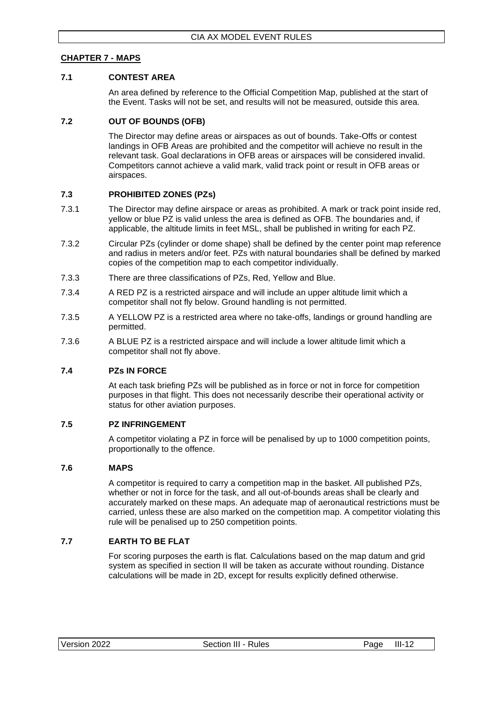### <span id="page-26-0"></span>**CHAPTER 7 - MAPS**

### <span id="page-26-1"></span>**7.1 CONTEST AREA**

An area defined by reference to the Official Competition Map, published at the start of the Event. Tasks will not be set, and results will not be measured, outside this area.

### <span id="page-26-2"></span>**7.2 OUT OF BOUNDS (OFB)**

The Director may define areas or airspaces as out of bounds. Take-Offs or contest landings in OFB Areas are prohibited and the competitor will achieve no result in the relevant task. Goal declarations in OFB areas or airspaces will be considered invalid. Competitors cannot achieve a valid mark, valid track point or result in OFB areas or airspaces.

### <span id="page-26-3"></span>**7.3 PROHIBITED ZONES (PZs)**

- 7.3.1 The Director may define airspace or areas as prohibited. A mark or track point inside red, yellow or blue PZ is valid unless the area is defined as OFB. The boundaries and, if applicable, the altitude limits in feet MSL, shall be published in writing for each PZ.
- 7.3.2 Circular PZs (cylinder or dome shape) shall be defined by the center point map reference and radius in meters and/or feet. PZs with natural boundaries shall be defined by marked copies of the competition map to each competitor individually.
- 7.3.3 There are three classifications of PZs, Red, Yellow and Blue.
- 7.3.4 A RED PZ is a restricted airspace and will include an upper altitude limit which a competitor shall not fly below. Ground handling is not permitted.
- 7.3.5 A YELLOW PZ is a restricted area where no take-offs, landings or ground handling are permitted.
- 7.3.6 A BLUE PZ is a restricted airspace and will include a lower altitude limit which a competitor shall not fly above.

### <span id="page-26-4"></span>**7.4 PZs IN FORCE**

At each task briefing PZs will be published as in force or not in force for competition purposes in that flight. This does not necessarily describe their operational activity or status for other aviation purposes.

### <span id="page-26-5"></span>**7.5 PZ INFRINGEMENT**

A competitor violating a PZ in force will be penalised by up to 1000 competition points, proportionally to the offence.

#### <span id="page-26-6"></span>**7.6 MAPS**

A competitor is required to carry a competition map in the basket. All published PZs, whether or not in force for the task, and all out-of-bounds areas shall be clearly and accurately marked on these maps. An adequate map of aeronautical restrictions must be carried, unless these are also marked on the competition map. A competitor violating this rule will be penalised up to 250 competition points.

### <span id="page-26-7"></span>**7.7 EARTH TO BE FLAT**

For scoring purposes the earth is flat. Calculations based on the map datum and grid system as specified in section II will be taken as accurate without rounding. Distance calculations will be made in 2D, except for results explicitly defined otherwise.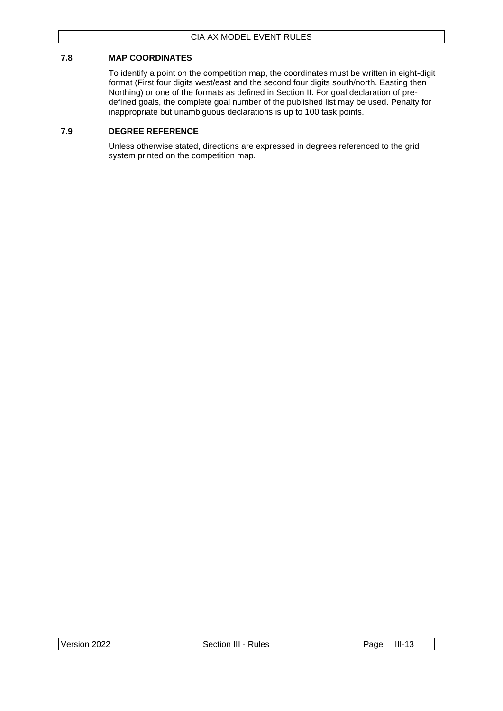### <span id="page-27-0"></span>**7.8 MAP COORDINATES**

To identify a point on the competition map, the coordinates must be written in eight-digit format (First four digits west/east and the second four digits south/north. Easting then Northing) or one of the formats as defined in Section II. For goal declaration of predefined goals, the complete goal number of the published list may be used. Penalty for inappropriate but unambiguous declarations is up to 100 task points.

### <span id="page-27-1"></span>**7.9 DEGREE REFERENCE**

Unless otherwise stated, directions are expressed in degrees referenced to the grid system printed on the competition map.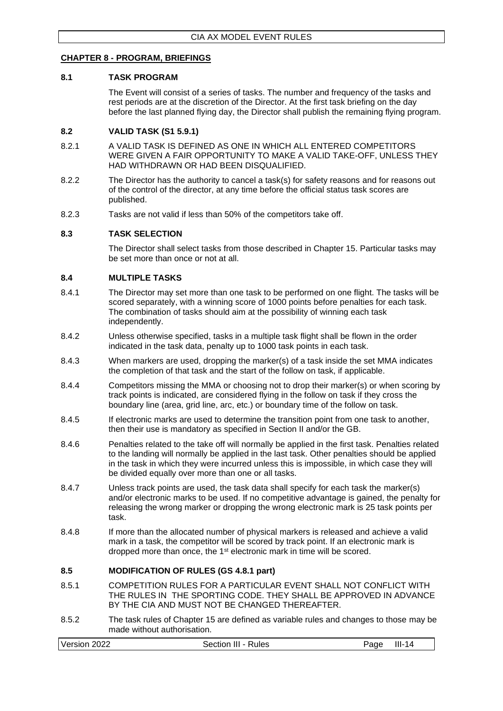#### <span id="page-28-0"></span>**CHAPTER 8 - PROGRAM, BRIEFINGS**

#### <span id="page-28-1"></span>**8.1 TASK PROGRAM**

The Event will consist of a series of tasks. The number and frequency of the tasks and rest periods are at the discretion of the Director. At the first task briefing on the day before the last planned flying day, the Director shall publish the remaining flying program.

#### <span id="page-28-2"></span>**8.2 VALID TASK (S1 5.9.1)**

- 8.2.1 A VALID TASK IS DEFINED AS ONE IN WHICH ALL ENTERED COMPETITORS WERE GIVEN A FAIR OPPORTUNITY TO MAKE A VALID TAKE-OFF, UNLESS THEY HAD WITHDRAWN OR HAD BEEN DISQUALIFIED.
- 8.2.2 The Director has the authority to cancel a task(s) for safety reasons and for reasons out of the control of the director, at any time before the official status task scores are published.
- 8.2.3 Tasks are not valid if less than 50% of the competitors take off.

### <span id="page-28-3"></span>**8.3 TASK SELECTION**

The Director shall select tasks from those described in Chapter 15. Particular tasks may be set more than once or not at all.

#### <span id="page-28-4"></span>**8.4 MULTIPLE TASKS**

- 8.4.1 The Director may set more than one task to be performed on one flight. The tasks will be scored separately, with a winning score of 1000 points before penalties for each task. The combination of tasks should aim at the possibility of winning each task independently.
- 8.4.2 Unless otherwise specified, tasks in a multiple task flight shall be flown in the order indicated in the task data, penalty up to 1000 task points in each task.
- 8.4.3 When markers are used, dropping the marker(s) of a task inside the set MMA indicates the completion of that task and the start of the follow on task, if applicable.
- 8.4.4 Competitors missing the MMA or choosing not to drop their marker(s) or when scoring by track points is indicated, are considered flying in the follow on task if they cross the boundary line (area, grid line, arc, etc.) or boundary time of the follow on task.
- 8.4.5 If electronic marks are used to determine the transition point from one task to another, then their use is mandatory as specified in Section II and/or the GB.
- 8.4.6 Penalties related to the take off will normally be applied in the first task. Penalties related to the landing will normally be applied in the last task. Other penalties should be applied in the task in which they were incurred unless this is impossible, in which case they will be divided equally over more than one or all tasks.
- 8.4.7 Unless track points are used, the task data shall specify for each task the marker(s) and/or electronic marks to be used. If no competitive advantage is gained, the penalty for releasing the wrong marker or dropping the wrong electronic mark is 25 task points per task.
- 8.4.8 If more than the allocated number of physical markers is released and achieve a valid mark in a task, the competitor will be scored by track point. If an electronic mark is dropped more than once, the 1<sup>st</sup> electronic mark in time will be scored.

### <span id="page-28-5"></span>**8.5 MODIFICATION OF RULES (GS 4.8.1 part)**

- 8.5.1 COMPETITION RULES FOR A PARTICULAR EVENT SHALL NOT CONFLICT WITH THE RULES IN THE SPORTING CODE. THEY SHALL BE APPROVED IN ADVANCE BY THE CIA AND MUST NOT BE CHANGED THEREAFTER.
- 8.5.2 The task rules of Chapter 15 are defined as variable rules and changes to those may be made without authorisation.

| Version 2022 | Section III - Rules | III-<br>14<br>aae |
|--------------|---------------------|-------------------|
|--------------|---------------------|-------------------|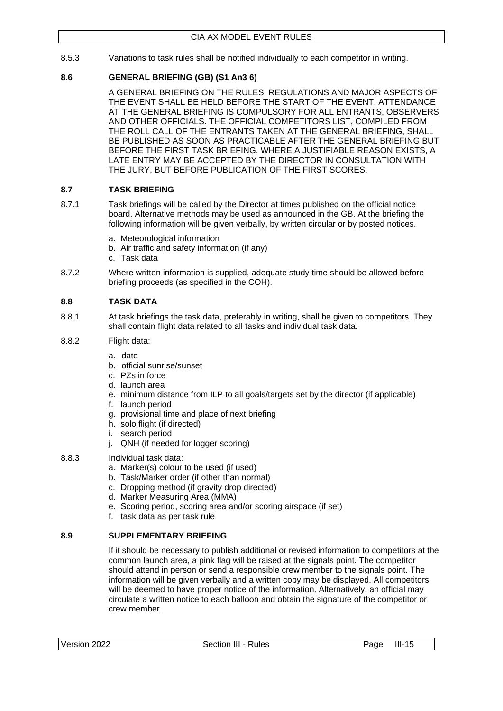8.5.3 Variations to task rules shall be notified individually to each competitor in writing.

### <span id="page-29-0"></span>**8.6 GENERAL BRIEFING (GB) (S1 An3 6)**

A GENERAL BRIEFING ON THE RULES, REGULATIONS AND MAJOR ASPECTS OF THE EVENT SHALL BE HELD BEFORE THE START OF THE EVENT. ATTENDANCE AT THE GENERAL BRIEFING IS COMPULSORY FOR ALL ENTRANTS, OBSERVERS AND OTHER OFFICIALS. THE OFFICIAL COMPETITORS LIST, COMPILED FROM THE ROLL CALL OF THE ENTRANTS TAKEN AT THE GENERAL BRIEFING, SHALL BE PUBLISHED AS SOON AS PRACTICABLE AFTER THE GENERAL BRIEFING BUT BEFORE THE FIRST TASK BRIEFING. WHERE A JUSTIFIABLE REASON EXISTS, A LATE ENTRY MAY BE ACCEPTED BY THE DIRECTOR IN CONSULTATION WITH THE JURY, BUT BEFORE PUBLICATION OF THE FIRST SCORES.

### <span id="page-29-1"></span>**8.7 TASK BRIEFING**

- 8.7.1 Task briefings will be called by the Director at times published on the official notice board. Alternative methods may be used as announced in the GB. At the briefing the following information will be given verbally, by written circular or by posted notices.
	- a. Meteorological information
	- b. Air traffic and safety information (if any)
	- c. Task data
- 8.7.2 Where written information is supplied, adequate study time should be allowed before briefing proceeds (as specified in the COH).

### <span id="page-29-2"></span>**8.8 TASK DATA**

- 8.8.1 At task briefings the task data, preferably in writing, shall be given to competitors. They shall contain flight data related to all tasks and individual task data.
- 8.8.2 Flight data:
	- a. date
	- b. official sunrise/sunset
	- c. PZs in force
	- d. launch area
	- e. minimum distance from ILP to all goals/targets set by the director (if applicable)
	- f. launch period
	- g. provisional time and place of next briefing
	- h. solo flight (if directed)
	- i. search period
	- j. QNH (if needed for logger scoring)
- 8.8.3 Individual task data:
	- a. Marker(s) colour to be used (if used)
	- b. Task/Marker order (if other than normal)
	- c. Dropping method (if gravity drop directed)
	- d. Marker Measuring Area (MMA)
	- e. Scoring period, scoring area and/or scoring airspace (if set)
	- f. task data as per task rule

### <span id="page-29-3"></span>**8.9 SUPPLEMENTARY BRIEFING**

If it should be necessary to publish additional or revised information to competitors at the common launch area, a pink flag will be raised at the signals point. The competitor should attend in person or send a responsible crew member to the signals point. The information will be given verbally and a written copy may be displayed. All competitors will be deemed to have proper notice of the information. Alternatively, an official may circulate a written notice to each balloon and obtain the signature of the competitor or crew member.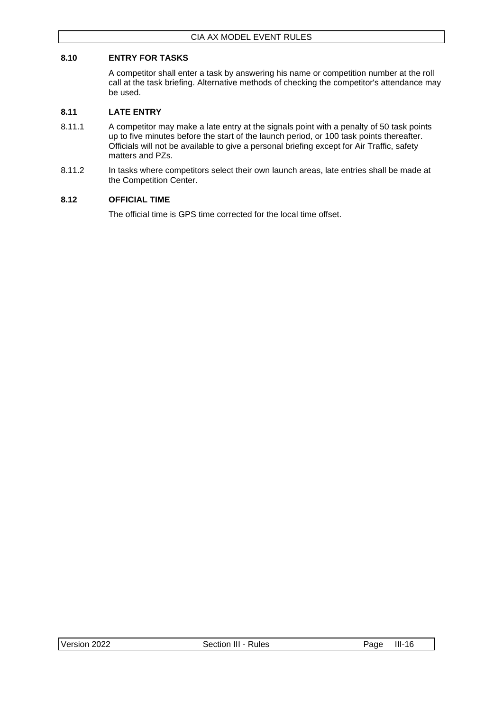### <span id="page-30-0"></span>**8.10 ENTRY FOR TASKS**

A competitor shall enter a task by answering his name or competition number at the roll call at the task briefing. Alternative methods of checking the competitor's attendance may be used.

### <span id="page-30-1"></span>**8.11 LATE ENTRY**

- 8.11.1 A competitor may make a late entry at the signals point with a penalty of 50 task points up to five minutes before the start of the launch period, or 100 task points thereafter. Officials will not be available to give a personal briefing except for Air Traffic, safety matters and PZs.
- 8.11.2 In tasks where competitors select their own launch areas, late entries shall be made at the Competition Center.

### <span id="page-30-2"></span>**8.12 OFFICIAL TIME**

The official time is GPS time corrected for the local time offset.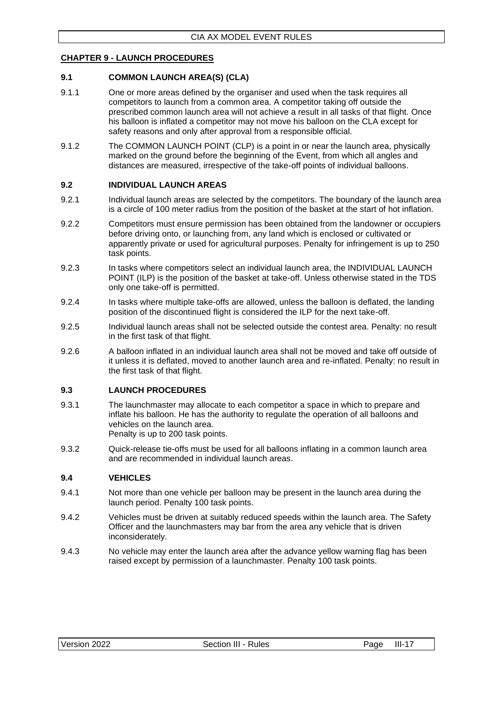### <span id="page-31-0"></span>**CHAPTER 9 - LAUNCH PROCEDURES**

### <span id="page-31-1"></span>**9.1 COMMON LAUNCH AREA(S) (CLA)**

- 9.1.1 One or more areas defined by the organiser and used when the task requires all competitors to launch from a common area. A competitor taking off outside the prescribed common launch area will not achieve a result in all tasks of that flight. Once his balloon is inflated a competitor may not move his balloon on the CLA except for safety reasons and only after approval from a responsible official.
- 9.1.2 The COMMON LAUNCH POINT (CLP) is a point in or near the launch area, physically marked on the ground before the beginning of the Event, from which all angles and distances are measured, irrespective of the take-off points of individual balloons.

#### <span id="page-31-2"></span>**9.2 INDIVIDUAL LAUNCH AREAS**

- 9.2.1 Individual launch areas are selected by the competitors. The boundary of the launch area is a circle of 100 meter radius from the position of the basket at the start of hot inflation.
- 9.2.2 Competitors must ensure permission has been obtained from the landowner or occupiers before driving onto, or launching from, any land which is enclosed or cultivated or apparently private or used for agricultural purposes. Penalty for infringement is up to 250 task points.
- 9.2.3 In tasks where competitors select an individual launch area, the INDIVIDUAL LAUNCH POINT (ILP) is the position of the basket at take-off. Unless otherwise stated in the TDS only one take-off is permitted.
- 9.2.4 In tasks where multiple take-offs are allowed, unless the balloon is deflated, the landing position of the discontinued flight is considered the ILP for the next take-off.
- 9.2.5 Individual launch areas shall not be selected outside the contest area. Penalty: no result in the first task of that flight.
- 9.2.6 A balloon inflated in an individual launch area shall not be moved and take off outside of it unless it is deflated, moved to another launch area and re-inflated. Penalty: no result in the first task of that flight.

### <span id="page-31-3"></span>**9.3 LAUNCH PROCEDURES**

- 9.3.1 The launchmaster may allocate to each competitor a space in which to prepare and inflate his balloon. He has the authority to regulate the operation of all balloons and vehicles on the launch area. Penalty is up to 200 task points.
- 9.3.2 Quick-release tie-offs must be used for all balloons inflating in a common launch area and are recommended in individual launch areas.

### <span id="page-31-4"></span>**9.4 VEHICLES**

- 9.4.1 Not more than one vehicle per balloon may be present in the launch area during the launch period. Penalty 100 task points.
- 9.4.2 Vehicles must be driven at suitably reduced speeds within the launch area. The Safety Officer and the launchmasters may bar from the area any vehicle that is driven inconsiderately.
- 9.4.3 No vehicle may enter the launch area after the advance yellow warning flag has been raised except by permission of a launchmaster. Penalty 100 task points.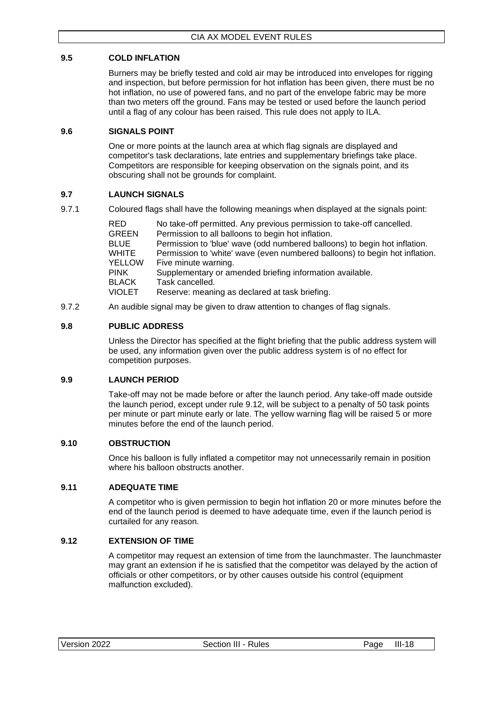### <span id="page-32-0"></span>**9.5 COLD INFLATION**

Burners may be briefly tested and cold air may be introduced into envelopes for rigging and inspection, but before permission for hot inflation has been given, there must be no hot inflation, no use of powered fans, and no part of the envelope fabric may be more than two meters off the ground. Fans may be tested or used before the launch period until a flag of any colour has been raised. This rule does not apply to ILA.

### <span id="page-32-1"></span>**9.6 SIGNALS POINT**

One or more points at the launch area at which flag signals are displayed and competitor's task declarations, late entries and supplementary briefings take place. Competitors are responsible for keeping observation on the signals point, and its obscuring shall not be grounds for complaint.

### <span id="page-32-2"></span>**9.7 LAUNCH SIGNALS**

9.7.1 Coloured flags shall have the following meanings when displayed at the signals point:

| RED    | No take-off permitted. Any previous permission to take-off cancelled.       |
|--------|-----------------------------------------------------------------------------|
| GREEN  | Permission to all balloons to begin hot inflation.                          |
| BLUE   | Permission to 'blue' wave (odd numbered balloons) to begin hot inflation.   |
| WHITE  | Permission to 'white' wave (even numbered balloons) to begin hot inflation. |
| YELLOW | Five minute warning.                                                        |
| PINK   | Supplementary or amended briefing information available.                    |
| BLACK  | Task cancelled.                                                             |
| VIOLET | Reserve: meaning as declared at task briefing.                              |
|        |                                                                             |

9.7.2 An audible signal may be given to draw attention to changes of flag signals.

### <span id="page-32-3"></span>**9.8 PUBLIC ADDRESS**

Unless the Director has specified at the flight briefing that the public address system will be used, any information given over the public address system is of no effect for competition purposes.

### <span id="page-32-4"></span>**9.9 LAUNCH PERIOD**

Take-off may not be made before or after the launch period. Any take-off made outside the launch period, except under rule 9.12, will be subject to a penalty of 50 task points per minute or part minute early or late. The yellow warning flag will be raised 5 or more minutes before the end of the launch period.

### <span id="page-32-5"></span>**9.10 OBSTRUCTION**

Once his balloon is fully inflated a competitor may not unnecessarily remain in position where his balloon obstructs another.

### <span id="page-32-6"></span>**9.11 ADEQUATE TIME**

A competitor who is given permission to begin hot inflation 20 or more minutes before the end of the launch period is deemed to have adequate time, even if the launch period is curtailed for any reason.

### <span id="page-32-7"></span>**9.12 EXTENSION OF TIME**

A competitor may request an extension of time from the launchmaster. The launchmaster may grant an extension if he is satisfied that the competitor was delayed by the action of officials or other competitors, or by other causes outside his control (equipment malfunction excluded).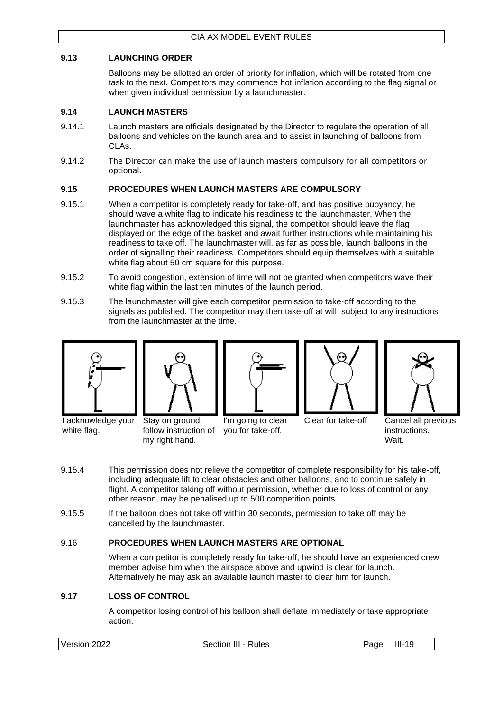### <span id="page-33-0"></span>**9.13 LAUNCHING ORDER**

Balloons may be allotted an order of priority for inflation, which will be rotated from one task to the next. Competitors may commence hot inflation according to the flag signal or when given individual permission by a launchmaster.

### <span id="page-33-1"></span>**9.14 LAUNCH MASTERS**

- 9.14.1 Launch masters are officials designated by the Director to regulate the operation of all balloons and vehicles on the launch area and to assist in launching of balloons from CLAs.
- 9.14.2 The Director can make the use of launch masters compulsory for all competitors or optional.

### <span id="page-33-2"></span>**9.15 PROCEDURES WHEN LAUNCH MASTERS ARE COMPULSORY**

- 9.15.1 When a competitor is completely ready for take-off, and has positive buoyancy, he should wave a white flag to indicate his readiness to the launchmaster. When the launchmaster has acknowledged this signal, the competitor should leave the flag displayed on the edge of the basket and await further instructions while maintaining his readiness to take off. The launchmaster will, as far as possible, launch balloons in the order of signalling their readiness. Competitors should equip themselves with a suitable white flag about 50 cm square for this purpose.
- 9.15.2 To avoid congestion, extension of time will not be granted when competitors wave their white flag within the last ten minutes of the launch period.
- 9.15.3 The launchmaster will give each competitor permission to take-off according to the signals as published. The competitor may then take-off at will, subject to any instructions from the launchmaster at the time.



I acknowledge your

white flag.



my right hand.



I'm going to clear





Clear for take-off Cancel all previous instructions. Wait.

- 9.15.4 This permission does not relieve the competitor of complete responsibility for his take-off, including adequate lift to clear obstacles and other balloons, and to continue safely in flight. A competitor taking off without permission, whether due to loss of control or any other reason, may be penalised up to 500 competition points
- 9.15.5 If the balloon does not take off within 30 seconds, permission to take off may be cancelled by the launchmaster.

### <span id="page-33-3"></span>9.16 **PROCEDURES WHEN LAUNCH MASTERS ARE OPTIONAL**

follow instruction of you for take-off.

When a competitor is completely ready for take-off, he should have an experienced crew member advise him when the airspace above and upwind is clear for launch. Alternatively he may ask an available launch master to clear him for launch.

### <span id="page-33-4"></span>**9.17 LOSS OF CONTROL**

A competitor losing control of his balloon shall deflate immediately or take appropriate action.

| Version 2022<br>Section III - Rules | Page | III-<br>19 |
|-------------------------------------|------|------------|
|-------------------------------------|------|------------|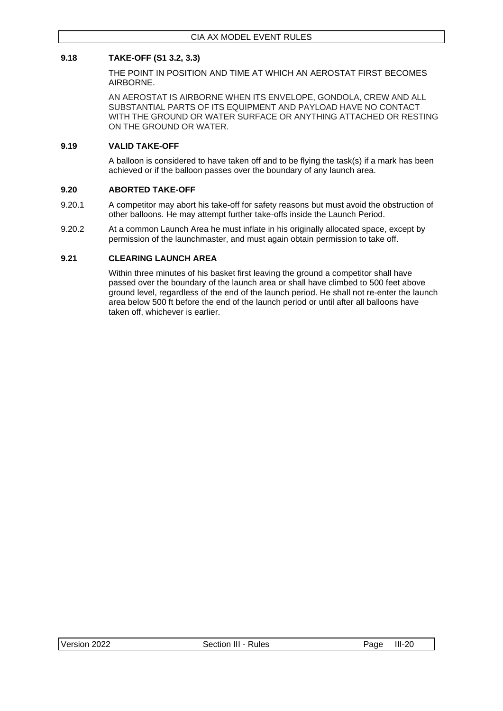### <span id="page-34-0"></span>**9.18 TAKE-OFF (S1 3.2, 3.3)**

THE POINT IN POSITION AND TIME AT WHICH AN AEROSTAT FIRST BECOMES AIRBORNE.

AN AEROSTAT IS AIRBORNE WHEN ITS ENVELOPE, GONDOLA, CREW AND ALL SUBSTANTIAL PARTS OF ITS EQUIPMENT AND PAYLOAD HAVE NO CONTACT WITH THE GROUND OR WATER SURFACE OR ANYTHING ATTACHED OR RESTING ON THE GROUND OR WATER.

### <span id="page-34-1"></span>**9.19 VALID TAKE-OFF**

A balloon is considered to have taken off and to be flying the task(s) if a mark has been achieved or if the balloon passes over the boundary of any launch area.

#### <span id="page-34-2"></span>**9.20 ABORTED TAKE-OFF**

- 9.20.1 A competitor may abort his take-off for safety reasons but must avoid the obstruction of other balloons. He may attempt further take-offs inside the Launch Period.
- 9.20.2 At a common Launch Area he must inflate in his originally allocated space, except by permission of the launchmaster, and must again obtain permission to take off.

### <span id="page-34-3"></span>**9.21 CLEARING LAUNCH AREA**

Within three minutes of his basket first leaving the ground a competitor shall have passed over the boundary of the launch area or shall have climbed to 500 feet above ground level, regardless of the end of the launch period. He shall not re-enter the launch area below 500 ft before the end of the launch period or until after all balloons have taken off, whichever is earlier.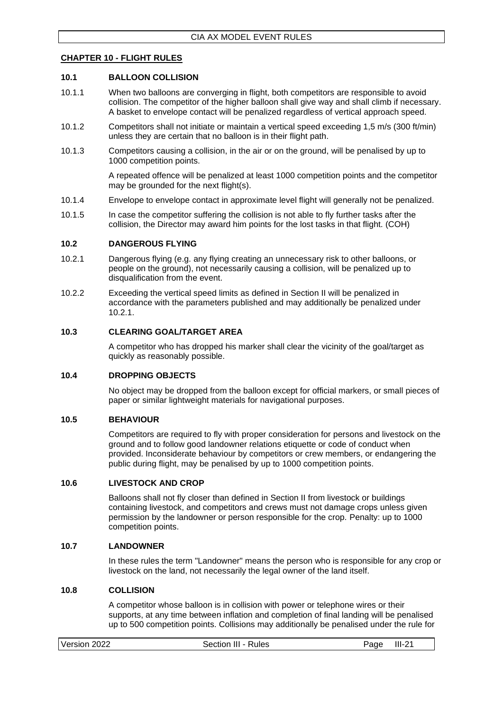#### <span id="page-35-0"></span>**CHAPTER 10 - FLIGHT RULES**

#### <span id="page-35-1"></span>**10.1 BALLOON COLLISION**

- 10.1.1 When two balloons are converging in flight, both competitors are responsible to avoid collision. The competitor of the higher balloon shall give way and shall climb if necessary. A basket to envelope contact will be penalized regardless of vertical approach speed.
- 10.1.2 Competitors shall not initiate or maintain a vertical speed exceeding 1,5 m/s (300 ft/min) unless they are certain that no balloon is in their flight path.
- 10.1.3 Competitors causing a collision, in the air or on the ground, will be penalised by up to 1000 competition points.

A repeated offence will be penalized at least 1000 competition points and the competitor may be grounded for the next flight(s).

- 10.1.4 Envelope to envelope contact in approximate level flight will generally not be penalized.
- 10.1.5 In case the competitor suffering the collision is not able to fly further tasks after the collision, the Director may award him points for the lost tasks in that flight. (COH)

#### <span id="page-35-2"></span>**10.2 DANGEROUS FLYING**

- 10.2.1 Dangerous flying (e.g. any flying creating an unnecessary risk to other balloons, or people on the ground), not necessarily causing a collision, will be penalized up to disqualification from the event.
- 10.2.2 Exceeding the vertical speed limits as defined in Section II will be penalized in accordance with the parameters published and may additionally be penalized under 10.2.1.

#### <span id="page-35-3"></span>**10.3 CLEARING GOAL/TARGET AREA**

A competitor who has dropped his marker shall clear the vicinity of the goal/target as quickly as reasonably possible.

#### <span id="page-35-4"></span>**10.4 DROPPING OBJECTS**

No object may be dropped from the balloon except for official markers, or small pieces of paper or similar lightweight materials for navigational purposes.

#### <span id="page-35-5"></span>**10.5 BEHAVIOUR**

Competitors are required to fly with proper consideration for persons and livestock on the ground and to follow good landowner relations etiquette or code of conduct when provided. Inconsiderate behaviour by competitors or crew members, or endangering the public during flight, may be penalised by up to 1000 competition points.

#### <span id="page-35-6"></span>**10.6 LIVESTOCK AND CROP**

Balloons shall not fly closer than defined in Section II from livestock or buildings containing livestock, and competitors and crews must not damage crops unless given permission by the landowner or person responsible for the crop. Penalty: up to 1000 competition points.

#### <span id="page-35-7"></span>**10.7 LANDOWNER**

In these rules the term "Landowner" means the person who is responsible for any crop or livestock on the land, not necessarily the legal owner of the land itself.

#### <span id="page-35-8"></span>**10.8 COLLISION**

A competitor whose balloon is in collision with power or telephone wires or their supports, at any time between inflation and completion of final landing will be penalised up to 500 competition points. Collisions may additionally be penalised under the rule for

| Version 2022<br>$III-21$<br>Section III - Rules<br>Page |  |
|---------------------------------------------------------|--|
|---------------------------------------------------------|--|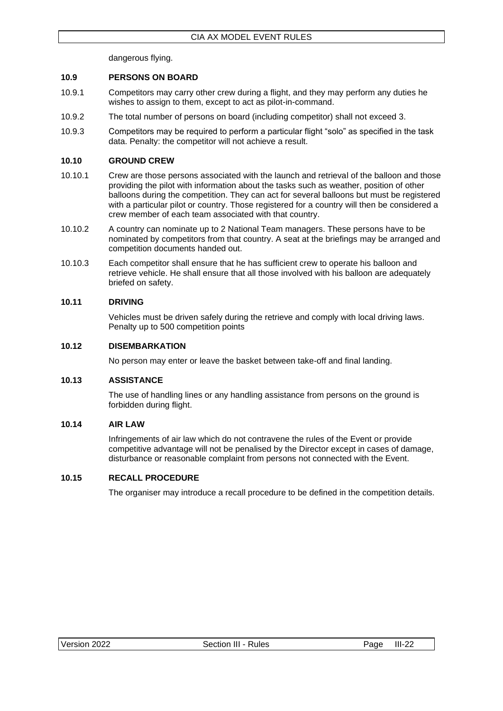dangerous flying.

### <span id="page-36-0"></span>**10.9 PERSONS ON BOARD**

- 10.9.1 Competitors may carry other crew during a flight, and they may perform any duties he wishes to assign to them, except to act as pilot-in-command.
- 10.9.2 The total number of persons on board (including competitor) shall not exceed 3.
- 10.9.3 Competitors may be required to perform a particular flight "solo" as specified in the task data. Penalty: the competitor will not achieve a result.

### <span id="page-36-1"></span>**10.10 GROUND CREW**

- 10.10.1 Crew are those persons associated with the launch and retrieval of the balloon and those providing the pilot with information about the tasks such as weather, position of other balloons during the competition. They can act for several balloons but must be registered with a particular pilot or country. Those registered for a country will then be considered a crew member of each team associated with that country.
- 10.10.2 A country can nominate up to 2 National Team managers. These persons have to be nominated by competitors from that country. A seat at the briefings may be arranged and competition documents handed out.
- 10.10.3 Each competitor shall ensure that he has sufficient crew to operate his balloon and retrieve vehicle. He shall ensure that all those involved with his balloon are adequately briefed on safety.

### <span id="page-36-2"></span>**10.11 DRIVING**

Vehicles must be driven safely during the retrieve and comply with local driving laws. Penalty up to 500 competition points

### <span id="page-36-3"></span>**10.12 DISEMBARKATION**

No person may enter or leave the basket between take-off and final landing.

### <span id="page-36-4"></span>**10.13 ASSISTANCE**

The use of handling lines or any handling assistance from persons on the ground is forbidden during flight.

### <span id="page-36-5"></span>**10.14 AIR LAW**

Infringements of air law which do not contravene the rules of the Event or provide competitive advantage will not be penalised by the Director except in cases of damage, disturbance or reasonable complaint from persons not connected with the Event.

### <span id="page-36-6"></span>**10.15 RECALL PROCEDURE**

The organiser may introduce a recall procedure to be defined in the competition details.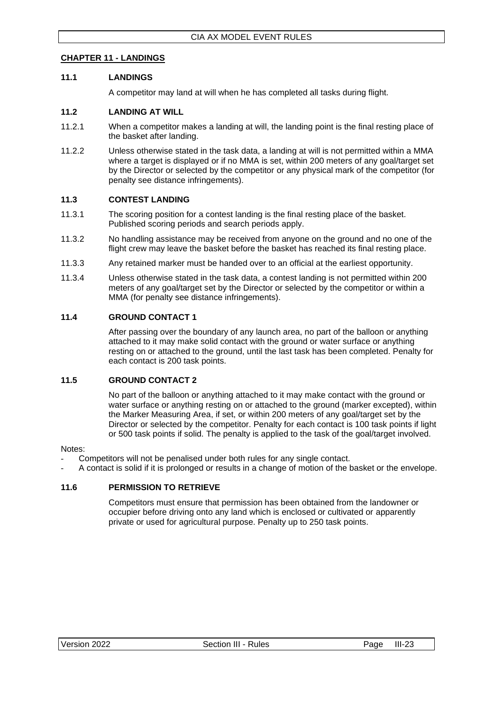### <span id="page-37-0"></span>**CHAPTER 11 - LANDINGS**

### <span id="page-37-1"></span>**11.1 LANDINGS**

A competitor may land at will when he has completed all tasks during flight.

### <span id="page-37-2"></span>**11.2 LANDING AT WILL**

- 11.2.1 When a competitor makes a landing at will, the landing point is the final resting place of the basket after landing.
- 11.2.2 Unless otherwise stated in the task data, a landing at will is not permitted within a MMA where a target is displayed or if no MMA is set, within 200 meters of any goal/target set by the Director or selected by the competitor or any physical mark of the competitor (for penalty see distance infringements).

### <span id="page-37-3"></span>**11.3 CONTEST LANDING**

- 11.3.1 The scoring position for a contest landing is the final resting place of the basket. Published scoring periods and search periods apply.
- 11.3.2 No handling assistance may be received from anyone on the ground and no one of the flight crew may leave the basket before the basket has reached its final resting place.
- 11.3.3 Any retained marker must be handed over to an official at the earliest opportunity.
- 11.3.4 Unless otherwise stated in the task data, a contest landing is not permitted within 200 meters of any goal/target set by the Director or selected by the competitor or within a MMA (for penalty see distance infringements).

### <span id="page-37-4"></span>**11.4 GROUND CONTACT 1**

After passing over the boundary of any launch area, no part of the balloon or anything attached to it may make solid contact with the ground or water surface or anything resting on or attached to the ground, until the last task has been completed. Penalty for each contact is 200 task points.

### <span id="page-37-5"></span>**11.5 GROUND CONTACT 2**

No part of the balloon or anything attached to it may make contact with the ground or water surface or anything resting on or attached to the ground (marker excepted), within the Marker Measuring Area, if set, or within 200 meters of any goal/target set by the Director or selected by the competitor. Penalty for each contact is 100 task points if light or 500 task points if solid. The penalty is applied to the task of the goal/target involved.

### Notes:

- Competitors will not be penalised under both rules for any single contact.
- A contact is solid if it is prolonged or results in a change of motion of the basket or the envelope.

### <span id="page-37-6"></span>**11.6 PERMISSION TO RETRIEVE**

Competitors must ensure that permission has been obtained from the landowner or occupier before driving onto any land which is enclosed or cultivated or apparently private or used for agricultural purpose. Penalty up to 250 task points.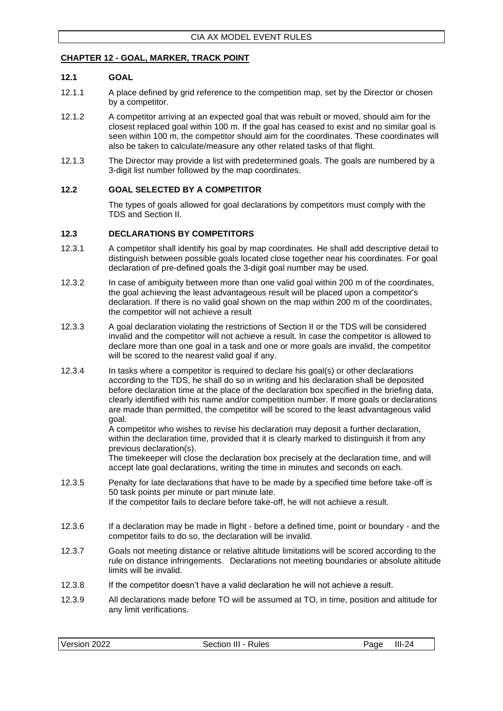### <span id="page-38-0"></span>**CHAPTER 12 - GOAL, MARKER, TRACK POINT**

### <span id="page-38-1"></span>**12.1 GOAL**

- 12.1.1 A place defined by grid reference to the competition map, set by the Director or chosen by a competitor.
- 12.1.2 A competitor arriving at an expected goal that was rebuilt or moved, should aim for the closest replaced goal within 100 m. If the goal has ceased to exist and no similar goal is seen within 100 m, the competitor should aim for the coordinates. These coordinates will also be taken to calculate/measure any other related tasks of that flight.
- 12.1.3 The Director may provide a list with predetermined goals. The goals are numbered by a 3-digit list number followed by the map coordinates.

### <span id="page-38-2"></span>**12.2 GOAL SELECTED BY A COMPETITOR**

The types of goals allowed for goal declarations by competitors must comply with the TDS and Section II.

### <span id="page-38-3"></span>**12.3 DECLARATIONS BY COMPETITORS**

- 12.3.1 A competitor shall identify his goal by map coordinates. He shall add descriptive detail to distinguish between possible goals located close together near his coordinates. For goal declaration of pre-defined goals the 3-digit goal number may be used.
- 12.3.2 In case of ambiguity between more than one valid goal within 200 m of the coordinates, the goal achieving the least advantageous result will be placed upon a competitor's declaration. If there is no valid goal shown on the map within 200 m of the coordinates, the competitor will not achieve a result
- 12.3.3 A goal declaration violating the restrictions of Section II or the TDS will be considered invalid and the competitor will not achieve a result. In case the competitor is allowed to declare more than one goal in a task and one or more goals are invalid, the competitor will be scored to the nearest valid goal if any.
- 12.3.4 In tasks where a competitor is required to declare his goal(s) or other declarations according to the TDS, he shall do so in writing and his declaration shall be deposited before declaration time at the place of the declaration box specified in the briefing data, clearly identified with his name and/or competition number. If more goals or declarations are made than permitted, the competitor will be scored to the least advantageous valid goal.

A competitor who wishes to revise his declaration may deposit a further declaration, within the declaration time, provided that it is clearly marked to distinguish it from any previous declaration(s).

The timekeeper will close the declaration box precisely at the declaration time, and will accept late goal declarations, writing the time in minutes and seconds on each.

- 12.3.5 Penalty for late declarations that have to be made by a specified time before take-off is 50 task points per minute or part minute late. If the competitor fails to declare before take-off, he will not achieve a result.
- 12.3.6 If a declaration may be made in flight before a defined time, point or boundary and the competitor fails to do so, the declaration will be invalid.
- 12.3.7 Goals not meeting distance or relative altitude limitations will be scored according to the rule on distance infringements. Declarations not meeting boundaries or absolute altitude limits will be invalid.
- 12.3.8 If the competitor doesn't have a valid declaration he will not achieve a result.
- 12.3.9 All declarations made before TO will be assumed at TO, in time, position and altitude for any limit verifications.

|  | Version 2022 | Section III - Rules | Paɑe | $III-24$ |
|--|--------------|---------------------|------|----------|
|--|--------------|---------------------|------|----------|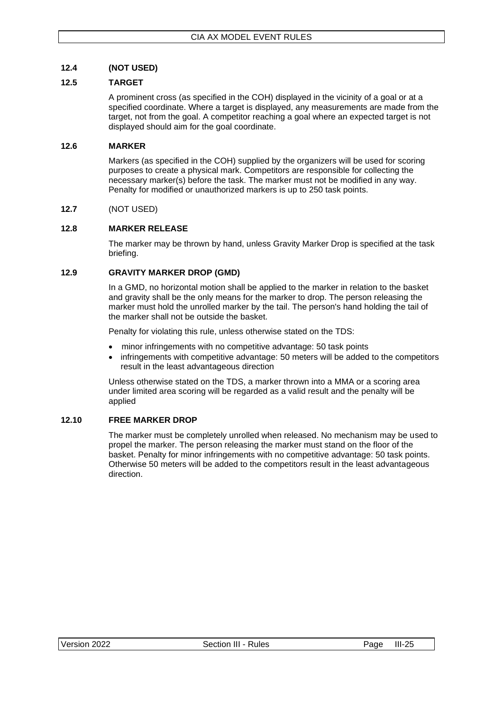### <span id="page-39-0"></span>**12.4 (NOT USED)**

### <span id="page-39-1"></span>**12.5 TARGET**

A prominent cross (as specified in the COH) displayed in the vicinity of a goal or at a specified coordinate. Where a target is displayed, any measurements are made from the target, not from the goal. A competitor reaching a goal where an expected target is not displayed should aim for the goal coordinate.

### <span id="page-39-2"></span>**12.6 MARKER**

Markers (as specified in the COH) supplied by the organizers will be used for scoring purposes to create a physical mark. Competitors are responsible for collecting the necessary marker(s) before the task. The marker must not be modified in any way. Penalty for modified or unauthorized markers is up to 250 task points.

### <span id="page-39-3"></span>**12.7** (NOT USED)

### <span id="page-39-4"></span>**12.8 MARKER RELEASE**

The marker may be thrown by hand, unless Gravity Marker Drop is specified at the task briefing.

### <span id="page-39-5"></span>**12.9 GRAVITY MARKER DROP (GMD)**

In a GMD, no horizontal motion shall be applied to the marker in relation to the basket and gravity shall be the only means for the marker to drop. The person releasing the marker must hold the unrolled marker by the tail. The person's hand holding the tail of the marker shall not be outside the basket.

Penalty for violating this rule, unless otherwise stated on the TDS:

- minor infringements with no competitive advantage: 50 task points
- infringements with competitive advantage: 50 meters will be added to the competitors result in the least advantageous direction

Unless otherwise stated on the TDS, a marker thrown into a MMA or a scoring area under limited area scoring will be regarded as a valid result and the penalty will be applied

### <span id="page-39-6"></span>**12.10 FREE MARKER DROP**

The marker must be completely unrolled when released. No mechanism may be used to propel the marker. The person releasing the marker must stand on the floor of the basket. Penalty for minor infringements with no competitive advantage: 50 task points. Otherwise 50 meters will be added to the competitors result in the least advantageous direction.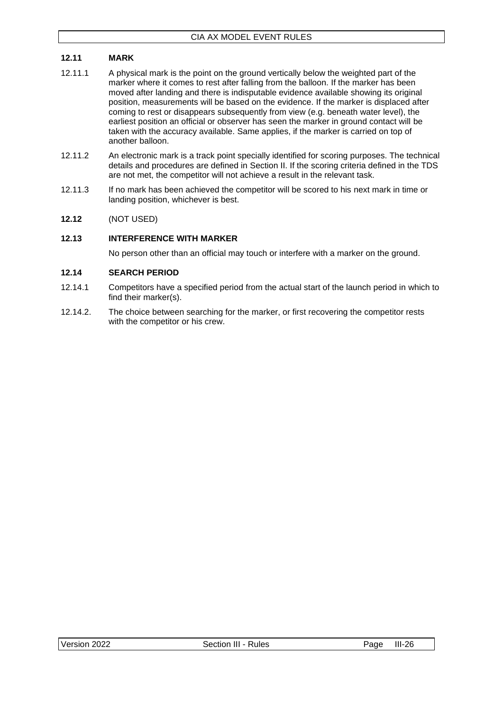### <span id="page-40-0"></span>**12.11 MARK**

- 12.11.1 A physical mark is the point on the ground vertically below the weighted part of the marker where it comes to rest after falling from the balloon. If the marker has been moved after landing and there is indisputable evidence available showing its original position, measurements will be based on the evidence. If the marker is displaced after coming to rest or disappears subsequently from view (e.g. beneath water level), the earliest position an official or observer has seen the marker in ground contact will be taken with the accuracy available. Same applies, if the marker is carried on top of another balloon.
- 12.11.2 An electronic mark is a track point specially identified for scoring purposes. The technical details and procedures are defined in Section II. If the scoring criteria defined in the TDS are not met, the competitor will not achieve a result in the relevant task.
- 12.11.3 If no mark has been achieved the competitor will be scored to his next mark in time or landing position, whichever is best.

### <span id="page-40-1"></span>**12.12** (NOT USED)

### <span id="page-40-2"></span>**12.13 INTERFERENCE WITH MARKER**

No person other than an official may touch or interfere with a marker on the ground.

### <span id="page-40-3"></span>**12.14 SEARCH PERIOD**

- 12.14.1 Competitors have a specified period from the actual start of the launch period in which to find their marker(s).
- 12.14.2. The choice between searching for the marker, or first recovering the competitor rests with the competitor or his crew.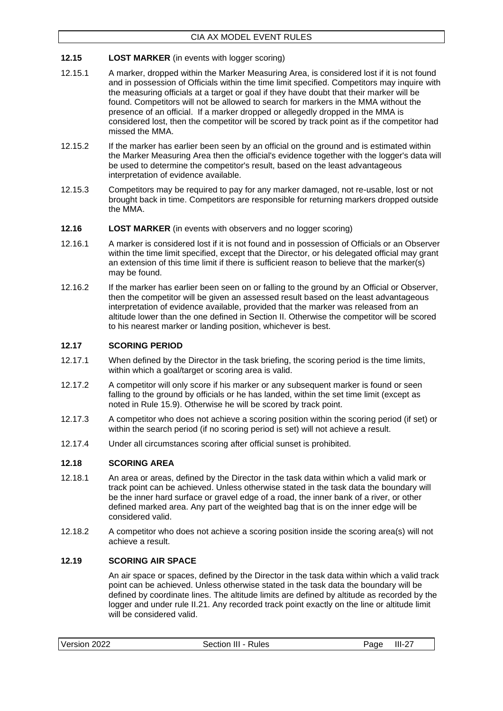### <span id="page-41-0"></span>**12.15 LOST MARKER** (in events with logger scoring)

- 12.15.1 A marker, dropped within the Marker Measuring Area, is considered lost if it is not found and in possession of Officials within the time limit specified. Competitors may inquire with the measuring officials at a target or goal if they have doubt that their marker will be found. Competitors will not be allowed to search for markers in the MMA without the presence of an official. If a marker dropped or allegedly dropped in the MMA is considered lost, then the competitor will be scored by track point as if the competitor had missed the MMA.
- 12.15.2 If the marker has earlier been seen by an official on the ground and is estimated within the Marker Measuring Area then the official's evidence together with the logger's data will be used to determine the competitor's result, based on the least advantageous interpretation of evidence available.
- 12.15.3 Competitors may be required to pay for any marker damaged, not re-usable, lost or not brought back in time. Competitors are responsible for returning markers dropped outside the MMA.
- <span id="page-41-1"></span>**12.16 LOST MARKER** (in events with observers and no logger scoring)
- 12.16.1 A marker is considered lost if it is not found and in possession of Officials or an Observer within the time limit specified, except that the Director, or his delegated official may grant an extension of this time limit if there is sufficient reason to believe that the marker(s) may be found.
- 12.16.2 If the marker has earlier been seen on or falling to the ground by an Official or Observer, then the competitor will be given an assessed result based on the least advantageous interpretation of evidence available, provided that the marker was released from an altitude lower than the one defined in Section II. Otherwise the competitor will be scored to his nearest marker or landing position, whichever is best.

### <span id="page-41-2"></span>**12.17 SCORING PERIOD**

- 12.17.1 When defined by the Director in the task briefing, the scoring period is the time limits, within which a goal/target or scoring area is valid.
- 12.17.2 A competitor will only score if his marker or any subsequent marker is found or seen falling to the ground by officials or he has landed, within the set time limit (except as noted in Rule 15.9). Otherwise he will be scored by track point.
- 12.17.3 A competitor who does not achieve a scoring position within the scoring period (if set) or within the search period (if no scoring period is set) will not achieve a result.
- 12.17.4 Under all circumstances scoring after official sunset is prohibited.

### <span id="page-41-3"></span>**12.18 SCORING AREA**

- 12.18.1 An area or areas, defined by the Director in the task data within which a valid mark or track point can be achieved. Unless otherwise stated in the task data the boundary will be the inner hard surface or gravel edge of a road, the inner bank of a river, or other defined marked area. Any part of the weighted bag that is on the inner edge will be considered valid.
- 12.18.2 A competitor who does not achieve a scoring position inside the scoring area(s) will not achieve a result.

### <span id="page-41-4"></span>**12.19 SCORING AIR SPACE**

An air space or spaces, defined by the Director in the task data within which a valid track point can be achieved. Unless otherwise stated in the task data the boundary will be defined by coordinate lines. The altitude limits are defined by altitude as recorded by the logger and under rule II.21. Any recorded track point exactly on the line or altitude limit will be considered valid.

| Version 2022 | Section III - Rules | Page | - III-27 |
|--------------|---------------------|------|----------|
|--------------|---------------------|------|----------|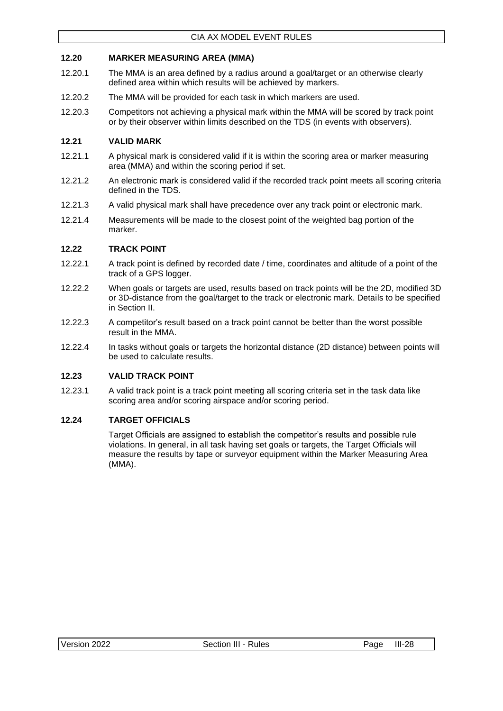### <span id="page-42-0"></span>**12.20 MARKER MEASURING AREA (MMA)**

- 12.20.1 The MMA is an area defined by a radius around a goal/target or an otherwise clearly defined area within which results will be achieved by markers.
- 12.20.2 The MMA will be provided for each task in which markers are used.
- 12.20.3 Competitors not achieving a physical mark within the MMA will be scored by track point or by their observer within limits described on the TDS (in events with observers).

### <span id="page-42-1"></span>**12.21 VALID MARK**

- 12.21.1 A physical mark is considered valid if it is within the scoring area or marker measuring area (MMA) and within the scoring period if set.
- 12.21.2 An electronic mark is considered valid if the recorded track point meets all scoring criteria defined in the TDS.
- 12.21.3 A valid physical mark shall have precedence over any track point or electronic mark.
- 12.21.4 Measurements will be made to the closest point of the weighted bag portion of the marker.

### <span id="page-42-2"></span>**12.22 TRACK POINT**

- 12.22.1 A track point is defined by recorded date / time, coordinates and altitude of a point of the track of a GPS logger.
- 12.22.2 When goals or targets are used, results based on track points will be the 2D, modified 3D or 3D-distance from the goal/target to the track or electronic mark. Details to be specified in Section II.
- 12.22.3 A competitor's result based on a track point cannot be better than the worst possible result in the MMA.
- 12.22.4 In tasks without goals or targets the horizontal distance (2D distance) between points will be used to calculate results.

### <span id="page-42-3"></span>**12.23 VALID TRACK POINT**

12.23.1 A valid track point is a track point meeting all scoring criteria set in the task data like scoring area and/or scoring airspace and/or scoring period.

### <span id="page-42-4"></span>**12.24 TARGET OFFICIALS**

Target Officials are assigned to establish the competitor's results and possible rule violations. In general, in all task having set goals or targets, the Target Officials will measure the results by tape or surveyor equipment within the Marker Measuring Area (MMA).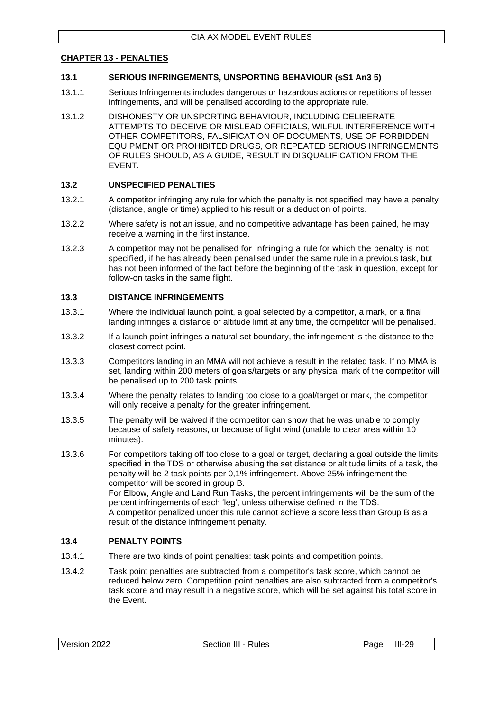#### <span id="page-43-0"></span>**CHAPTER 13 - PENALTIES**

#### <span id="page-43-1"></span>**13.1 SERIOUS INFRINGEMENTS, UNSPORTING BEHAVIOUR (sS1 An3 5)**

- 13.1.1 Serious Infringements includes dangerous or hazardous actions or repetitions of lesser infringements, and will be penalised according to the appropriate rule.
- 13.1.2 DISHONESTY OR UNSPORTING BEHAVIOUR, INCLUDING DELIBERATE ATTEMPTS TO DECEIVE OR MISLEAD OFFICIALS, WILFUL INTERFERENCE WITH OTHER COMPETITORS, FALSIFICATION OF DOCUMENTS, USE OF FORBIDDEN EQUIPMENT OR PROHIBITED DRUGS, OR REPEATED SERIOUS INFRINGEMENTS OF RULES SHOULD, AS A GUIDE, RESULT IN DISQUALIFICATION FROM THE EVENT.

#### <span id="page-43-2"></span>**13.2 UNSPECIFIED PENALTIES**

- 13.2.1 A competitor infringing any rule for which the penalty is not specified may have a penalty (distance, angle or time) applied to his result or a deduction of points.
- 13.2.2 Where safety is not an issue, and no competitive advantage has been gained, he may receive a warning in the first instance.
- 13.2.3 A competitor may not be penalised for infringing a rule for which the penalty is not specified, if he has already been penalised under the same rule in a previous task, but has not been informed of the fact before the beginning of the task in question, except for follow-on tasks in the same flight.

#### <span id="page-43-3"></span>**13.3 DISTANCE INFRINGEMENTS**

- 13.3.1 Where the individual launch point, a goal selected by a competitor, a mark, or a final landing infringes a distance or altitude limit at any time, the competitor will be penalised.
- 13.3.2 If a launch point infringes a natural set boundary, the infringement is the distance to the closest correct point.
- 13.3.3 Competitors landing in an MMA will not achieve a result in the related task. If no MMA is set, landing within 200 meters of goals/targets or any physical mark of the competitor will be penalised up to 200 task points.
- 13.3.4 Where the penalty relates to landing too close to a goal/target or mark, the competitor will only receive a penalty for the greater infringement.
- 13.3.5 The penalty will be waived if the competitor can show that he was unable to comply because of safety reasons, or because of light wind (unable to clear area within 10 minutes).
- 13.3.6 For competitors taking off too close to a goal or target, declaring a goal outside the limits specified in the TDS or otherwise abusing the set distance or altitude limits of a task, the penalty will be 2 task points per 0,1% infringement. Above 25% infringement the competitor will be scored in group B. For Elbow, Angle and Land Run Tasks, the percent infringements will be the sum of the percent infringements of each 'leg', unless otherwise defined in the TDS. A competitor penalized under this rule cannot achieve a score less than Group B as a result of the distance infringement penalty.

### <span id="page-43-4"></span>**13.4 PENALTY POINTS**

- 13.4.1 There are two kinds of point penalties: task points and competition points.
- 13.4.2 Task point penalties are subtracted from a competitor's task score, which cannot be reduced below zero. Competition point penalties are also subtracted from a competitor's task score and may result in a negative score, which will be set against his total score in the Event.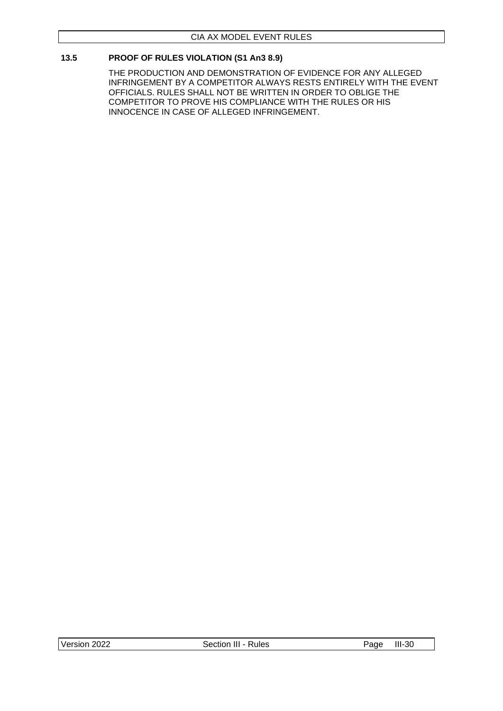### <span id="page-44-0"></span>**13.5 PROOF OF RULES VIOLATION (S1 An3 8.9)**

THE PRODUCTION AND DEMONSTRATION OF EVIDENCE FOR ANY ALLEGED INFRINGEMENT BY A COMPETITOR ALWAYS RESTS ENTIRELY WITH THE EVENT OFFICIALS. RULES SHALL NOT BE WRITTEN IN ORDER TO OBLIGE THE COMPETITOR TO PROVE HIS COMPLIANCE WITH THE RULES OR HIS INNOCENCE IN CASE OF ALLEGED INFRINGEMENT.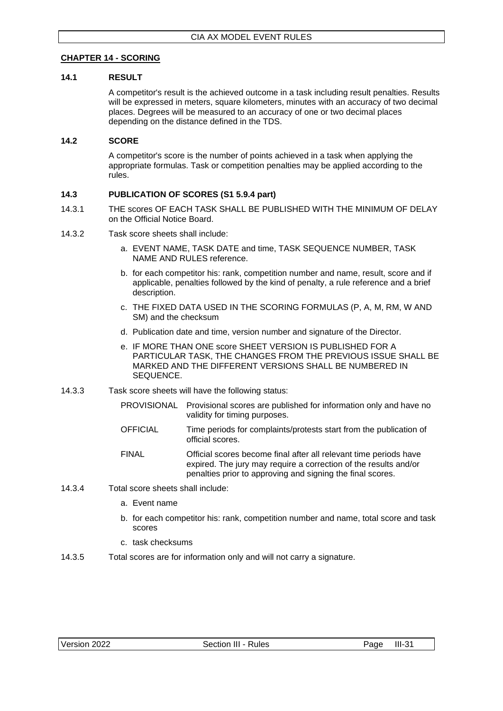### <span id="page-45-0"></span>**CHAPTER 14 - SCORING**

### <span id="page-45-1"></span>**14.1 RESULT**

A competitor's result is the achieved outcome in a task including result penalties. Results will be expressed in meters, square kilometers, minutes with an accuracy of two decimal places. Degrees will be measured to an accuracy of one or two decimal places depending on the distance defined in the TDS.

### <span id="page-45-2"></span>**14.2 SCORE**

A competitor's score is the number of points achieved in a task when applying the appropriate formulas. Task or competition penalties may be applied according to the rules.

### <span id="page-45-3"></span>**14.3 PUBLICATION OF SCORES (S1 5.9.4 part)**

- 14.3.1 THE scores OF EACH TASK SHALL BE PUBLISHED WITH THE MINIMUM OF DELAY on the Official Notice Board.
- 14.3.2 Task score sheets shall include:
	- a. EVENT NAME, TASK DATE and time, TASK SEQUENCE NUMBER, TASK NAME AND RULES reference.
	- b. for each competitor his: rank, competition number and name, result, score and if applicable, penalties followed by the kind of penalty, a rule reference and a brief description.
	- c. THE FIXED DATA USED IN THE SCORING FORMULAS (P, A, M, RM, W AND SM) and the checksum
	- d. Publication date and time, version number and signature of the Director.
	- e. IF MORE THAN ONE score SHEET VERSION IS PUBLISHED FOR A PARTICULAR TASK, THE CHANGES FROM THE PREVIOUS ISSUE SHALL BE MARKED AND THE DIFFERENT VERSIONS SHALL BE NUMBERED IN SEQUENCE.
- 14.3.3 Task score sheets will have the following status:
	- PROVISIONAL Provisional scores are published for information only and have no validity for timing purposes.
	- OFFICIAL Time periods for complaints/protests start from the publication of official scores.
	- FINAL Official scores become final after all relevant time periods have expired. The jury may require a correction of the results and/or penalties prior to approving and signing the final scores.
- 14.3.4 Total score sheets shall include:
	- a. Event name
	- b. for each competitor his: rank, competition number and name, total score and task scores
	- c. task checksums
- 14.3.5 Total scores are for information only and will not carry a signature.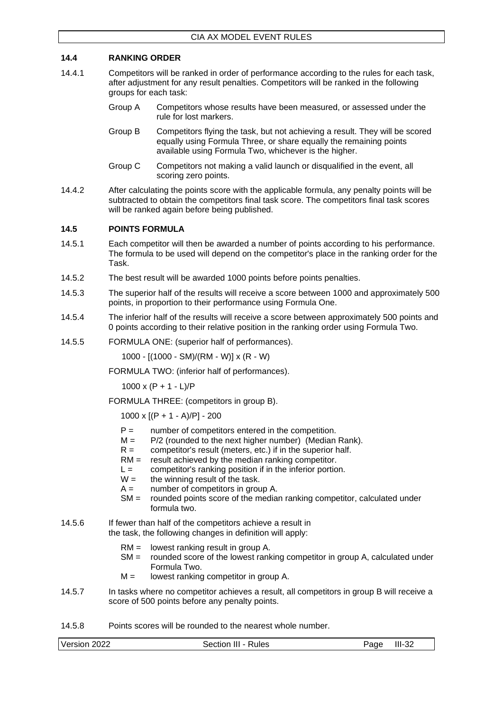### <span id="page-46-0"></span>**14.4 RANKING ORDER**

- 14.4.1 Competitors will be ranked in order of performance according to the rules for each task, after adjustment for any result penalties. Competitors will be ranked in the following groups for each task:
	- Group A Competitors whose results have been measured, or assessed under the rule for lost markers.
	- Group B Competitors flying the task, but not achieving a result. They will be scored equally using Formula Three, or share equally the remaining points available using Formula Two, whichever is the higher.
	- Group C Competitors not making a valid launch or disqualified in the event, all scoring zero points.
- 14.4.2 After calculating the points score with the applicable formula, any penalty points will be subtracted to obtain the competitors final task score. The competitors final task scores will be ranked again before being published.

### <span id="page-46-1"></span>**14.5 POINTS FORMULA**

- 14.5.1 Each competitor will then be awarded a number of points according to his performance. The formula to be used will depend on the competitor's place in the ranking order for the Task.
- 14.5.2 The best result will be awarded 1000 points before points penalties.
- 14.5.3 The superior half of the results will receive a score between 1000 and approximately 500 points, in proportion to their performance using Formula One.
- 14.5.4 The inferior half of the results will receive a score between approximately 500 points and 0 points according to their relative position in the ranking order using Formula Two.
- 14.5.5 FORMULA ONE: (superior half of performances).

1000 - [(1000 - SM)/(RM - W)] x (R - W)

FORMULA TWO: (inferior half of performances).

 $1000 \times (P + 1 - L)/P$ 

FORMULA THREE: (competitors in group B).

1000 x [(P + 1 - A)/P] - 200

- $P =$  number of competitors entered in the competition.<br> $M =$   $P/2$  (rounded to the next higher number) (Median
- P/2 (rounded to the next higher number) (Median Rank).
- $R =$  competitor's result (meters, etc.) if in the superior half.
- $RM =$  result achieved by the median ranking competitor.
- $L =$  competitor's ranking position if in the inferior portion.
- $W =$  the winning result of the task.
- $A =$  number of competitors in group A.
- SM = rounded points score of the median ranking competitor, calculated under formula two.
- 14.5.6 If fewer than half of the competitors achieve a result in the task, the following changes in definition will apply:
	- RM = lowest ranking result in group A.
	- SM = rounded score of the lowest ranking competitor in group A, calculated under Formula Two.
	- $M =$  lowest ranking competitor in group A.
- 14.5.7 In tasks where no competitor achieves a result, all competitors in group B will receive a score of 500 points before any penalty points.
- 14.5.8 Points scores will be rounded to the nearest whole number.

Version 2022 Section III - Rules Page III-32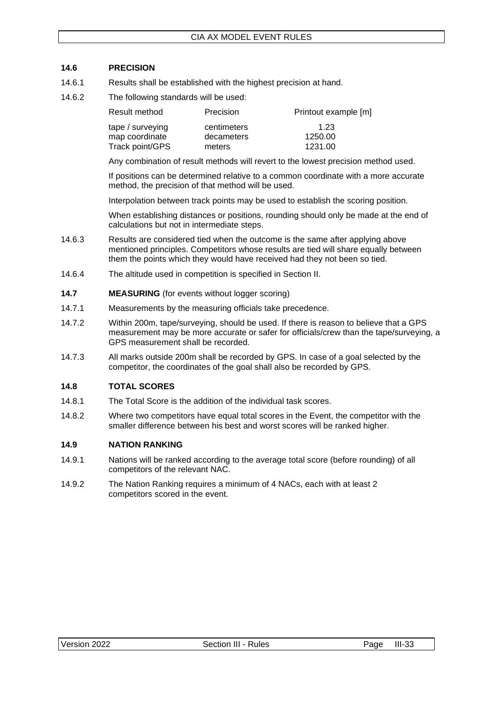### <span id="page-47-0"></span>**14.6 PRECISION**

- 14.6.1 Results shall be established with the highest precision at hand.
- 14.6.2 The following standards will be used:

| Result method    | Precision   | Printout example [m] |
|------------------|-------------|----------------------|
| tape / surveying | centimeters | 1.23                 |
| map coordinate   | decameters  | 1250.00              |
| Track point/GPS  | meters      | 1231.00              |

Any combination of result methods will revert to the lowest precision method used.

If positions can be determined relative to a common coordinate with a more accurate method, the precision of that method will be used.

Interpolation between track points may be used to establish the scoring position.

When establishing distances or positions, rounding should only be made at the end of calculations but not in intermediate steps.

- 14.6.3 Results are considered tied when the outcome is the same after applying above mentioned principles. Competitors whose results are tied will share equally between them the points which they would have received had they not been so tied.
- 14.6.4 The altitude used in competition is specified in Section II.
- <span id="page-47-1"></span>**14.7 MEASURING** (for events without logger scoring)
- 14.7.1 Measurements by the measuring officials take precedence.
- 14.7.2 Within 200m, tape/surveying, should be used. If there is reason to believe that a GPS measurement may be more accurate or safer for officials/crew than the tape/surveying, a GPS measurement shall be recorded.
- 14.7.3 All marks outside 200m shall be recorded by GPS. In case of a goal selected by the competitor, the coordinates of the goal shall also be recorded by GPS.

### <span id="page-47-2"></span>**14.8 TOTAL SCORES**

- 14.8.1 The Total Score is the addition of the individual task scores.
- 14.8.2 Where two competitors have equal total scores in the Event, the competitor with the smaller difference between his best and worst scores will be ranked higher.

### <span id="page-47-3"></span>**14.9 NATION RANKING**

- 14.9.1 Nations will be ranked according to the average total score (before rounding) of all competitors of the relevant NAC.
- 14.9.2 The Nation Ranking requires a minimum of 4 NACs, each with at least 2 competitors scored in the event.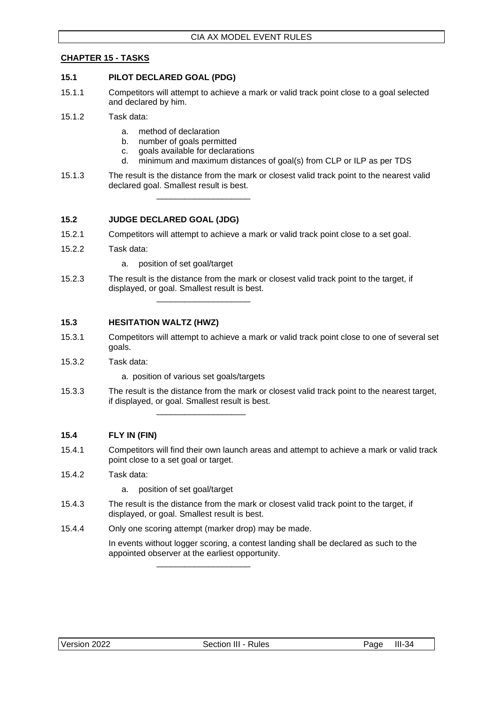### <span id="page-48-0"></span>**CHAPTER 15 - TASKS**

### <span id="page-48-1"></span>**15.1 PILOT DECLARED GOAL (PDG)**

- 15.1.1 Competitors will attempt to achieve a mark or valid track point close to a goal selected and declared by him.
- 15.1.2 Task data:
	- a. method of declaration
	- b. number of goals permitted
	- c. goals available for declarations

\_\_\_\_\_\_\_\_\_\_\_\_\_\_\_\_\_\_\_\_

- d. minimum and maximum distances of goal(s) from CLP or ILP as per TDS
- 15.1.3 The result is the distance from the mark or closest valid track point to the nearest valid declared goal. Smallest result is best.

### <span id="page-48-2"></span>**15.2 JUDGE DECLARED GOAL (JDG)**

- 15.2.1 Competitors will attempt to achieve a mark or valid track point close to a set goal.
- 15.2.2 Task data:
	- a. position of set goal/target
- 15.2.3 The result is the distance from the mark or closest valid track point to the target, if displayed, or goal. Smallest result is best. \_\_\_\_\_\_\_\_\_\_\_\_\_\_\_\_\_\_\_\_

### <span id="page-48-3"></span>**15.3 HESITATION WALTZ (HWZ)**

- 15.3.1 Competitors will attempt to achieve a mark or valid track point close to one of several set goals.
- 15.3.2 Task data:
	- a. position of various set goals/targets

\_\_\_\_\_\_\_\_\_\_\_\_\_\_\_\_\_\_\_

15.3.3 The result is the distance from the mark or closest valid track point to the nearest target, if displayed, or goal. Smallest result is best.

### <span id="page-48-4"></span>**15.4 FLY IN (FIN)**

15.4.1 Competitors will find their own launch areas and attempt to achieve a mark or valid track point close to a set goal or target.

### 15.4.2 Task data:

- a. position of set goal/target
- 15.4.3 The result is the distance from the mark or closest valid track point to the target, if displayed, or goal. Smallest result is best.
- 15.4.4 Only one scoring attempt (marker drop) may be made.

\_\_\_\_\_\_\_\_\_\_\_\_\_\_\_\_\_\_\_\_

In events without logger scoring, a contest landing shall be declared as such to the appointed observer at the earliest opportunity.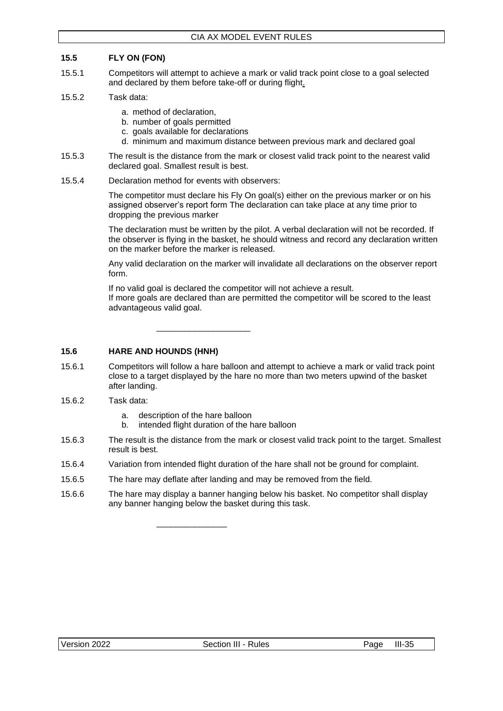### <span id="page-49-0"></span>**15.5 FLY ON (FON)**

- 15.5.1 Competitors will attempt to achieve a mark or valid track point close to a goal selected and declared by them before take-off or during flight.
- 15.5.2 Task data:
	- a. method of declaration,
	- b. number of goals permitted
	- c. goals available for declarations
	- d. minimum and maximum distance between previous mark and declared goal
- 15.5.3 The result is the distance from the mark or closest valid track point to the nearest valid declared goal. Smallest result is best.
- 15.5.4 Declaration method for events with observers:

The competitor must declare his Fly On goal(s) either on the previous marker or on his assigned observer's report form The declaration can take place at any time prior to dropping the previous marker

The declaration must be written by the pilot. A verbal declaration will not be recorded. If the observer is flying in the basket, he should witness and record any declaration written on the marker before the marker is released.

Any valid declaration on the marker will invalidate all declarations on the observer report form.

If no valid goal is declared the competitor will not achieve a result. If more goals are declared than are permitted the competitor will be scored to the least advantageous valid goal.

\_\_\_\_\_\_\_\_\_\_\_\_\_\_\_\_\_\_\_\_

### <span id="page-49-1"></span>**15.6 HARE AND HOUNDS (HNH)**

- 15.6.1 Competitors will follow a hare balloon and attempt to achieve a mark or valid track point close to a target displayed by the hare no more than two meters upwind of the basket after landing.
- 15.6.2 Task data:
	- a. description of the hare balloon

\_\_\_\_\_\_\_\_\_\_\_\_\_\_\_

- b. intended flight duration of the hare balloon
- 15.6.3 The result is the distance from the mark or closest valid track point to the target. Smallest result is best.
- 15.6.4 Variation from intended flight duration of the hare shall not be ground for complaint.
- 15.6.5 The hare may deflate after landing and may be removed from the field.
- 15.6.6 The hare may display a banner hanging below his basket. No competitor shall display any banner hanging below the basket during this task.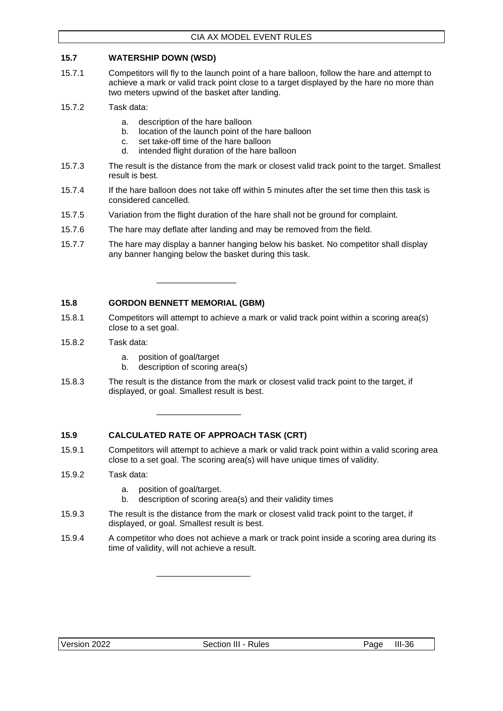### <span id="page-50-0"></span>**15.7 WATERSHIP DOWN (WSD)**

- 15.7.1 Competitors will fly to the launch point of a hare balloon, follow the hare and attempt to achieve a mark or valid track point close to a target displayed by the hare no more than two meters upwind of the basket after landing.
- 15.7.2 Task data:
	- a. description of the hare balloon
	- b. location of the launch point of the hare balloon
	- c. set take-off time of the hare balloon
	- d. intended flight duration of the hare balloon
- 15.7.3 The result is the distance from the mark or closest valid track point to the target. Smallest result is best.
- 15.7.4 If the hare balloon does not take off within 5 minutes after the set time then this task is considered cancelled.
- 15.7.5 Variation from the flight duration of the hare shall not be ground for complaint.
- 15.7.6 The hare may deflate after landing and may be removed from the field.
- 15.7.7 The hare may display a banner hanging below his basket. No competitor shall display any banner hanging below the basket during this task.

### <span id="page-50-1"></span>**15.8 GORDON BENNETT MEMORIAL (GBM)**

- 15.8.1 Competitors will attempt to achieve a mark or valid track point within a scoring area(s) close to a set goal.
- 15.8.2 Task data:
	- a. position of goal/target
	- b. description of scoring area(s)

\_\_\_\_\_\_\_\_\_\_\_\_\_\_\_\_\_

15.8.3 The result is the distance from the mark or closest valid track point to the target, if displayed, or goal. Smallest result is best.

### <span id="page-50-2"></span>**15.9 CALCULATED RATE OF APPROACH TASK (CRT)**

\_\_\_\_\_\_\_\_\_\_\_\_\_\_\_\_\_\_

\_\_\_\_\_\_\_\_\_\_\_\_\_\_\_\_\_\_\_\_

- 15.9.1 Competitors will attempt to achieve a mark or valid track point within a valid scoring area close to a set goal. The scoring area(s) will have unique times of validity.
- 15.9.2 Task data:
	- a. position of goal/target.
	- b. description of scoring area(s) and their validity times
- 15.9.3 The result is the distance from the mark or closest valid track point to the target, if displayed, or goal. Smallest result is best.
- 15.9.4 A competitor who does not achieve a mark or track point inside a scoring area during its time of validity, will not achieve a result.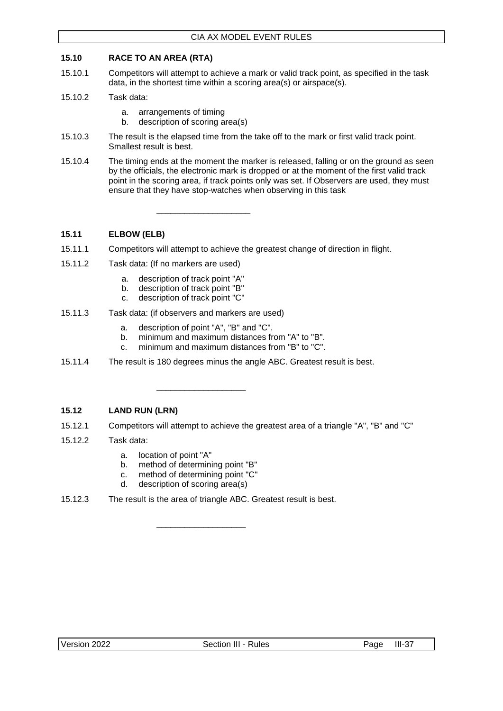### <span id="page-51-0"></span>**15.10 RACE TO AN AREA (RTA)**

- 15.10.1 Competitors will attempt to achieve a mark or valid track point, as specified in the task data, in the shortest time within a scoring area(s) or airspace(s).
- 15.10.2 Task data:
	- a. arrangements of timing
	- b. description of scoring area(s)
- 15.10.3 The result is the elapsed time from the take off to the mark or first valid track point. Smallest result is best.
- 15.10.4 The timing ends at the moment the marker is released, falling or on the ground as seen by the officials, the electronic mark is dropped or at the moment of the first valid track point in the scoring area, if track points only was set. If Observers are used, they must ensure that they have stop-watches when observing in this task

### <span id="page-51-1"></span>**15.11 ELBOW (ELB)**

- 15.11.1 Competitors will attempt to achieve the greatest change of direction in flight.
- 15.11.2 Task data: (If no markers are used)
	- a. description of track point "A"
	- b. description of track point "B"
	- c. description of track point "C"
- 15.11.3 Task data: (if observers and markers are used)
	- a. description of point "A", "B" and "C".

\_\_\_\_\_\_\_\_\_\_\_\_\_\_\_\_\_\_\_

\_\_\_\_\_\_\_\_\_\_\_\_\_\_\_\_\_\_\_\_

- b. minimum and maximum distances from "A" to "B".
- c. minimum and maximum distances from "B" to "C".
- 15.11.4 The result is 180 degrees minus the angle ABC. Greatest result is best.

### <span id="page-51-2"></span>**15.12 LAND RUN (LRN)**

- 15.12.1 Competitors will attempt to achieve the greatest area of a triangle "A", "B" and "C"
- 15.12.2 Task data:
	- a. location of point "A"
	- b. method of determining point "B"
	- c. method of determining point "C"
	- d. description of scoring area(s)
- 15.12.3 The result is the area of triangle ABC. Greatest result is best.

\_\_\_\_\_\_\_\_\_\_\_\_\_\_\_\_\_\_\_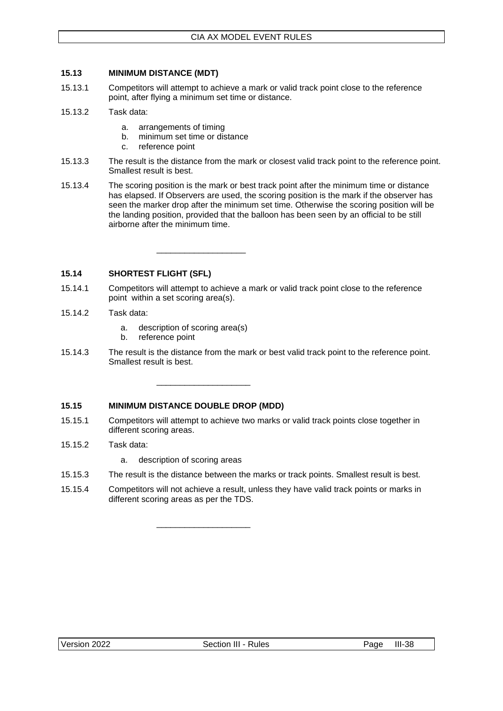### <span id="page-52-0"></span>**15.13 MINIMUM DISTANCE (MDT)**

- 15.13.1 Competitors will attempt to achieve a mark or valid track point close to the reference point, after flying a minimum set time or distance.
- 15.13.2 Task data:
	- a. arrangements of timing
	- b. minimum set time or distance
	- c. reference point
- 15.13.3 The result is the distance from the mark or closest valid track point to the reference point. Smallest result is best.
- 15.13.4 The scoring position is the mark or best track point after the minimum time or distance has elapsed. If Observers are used, the scoring position is the mark if the observer has seen the marker drop after the minimum set time. Otherwise the scoring position will be the landing position, provided that the balloon has been seen by an official to be still airborne after the minimum time.

<span id="page-52-1"></span>**15.14 SHORTEST FLIGHT (SFL)**

- 15.14.1 Competitors will attempt to achieve a mark or valid track point close to the reference point within a set scoring area(s).
- 15.14.2 Task data:
	- a. description of scoring area(s)

\_\_\_\_\_\_\_\_\_\_\_\_\_\_\_\_\_\_\_

\_\_\_\_\_\_\_\_\_\_\_\_\_\_\_\_\_\_\_\_

\_\_\_\_\_\_\_\_\_\_\_\_\_\_\_\_\_\_\_\_

- b. reference point
- 15.14.3 The result is the distance from the mark or best valid track point to the reference point. Smallest result is best.

### <span id="page-52-2"></span>**15.15 MINIMUM DISTANCE DOUBLE DROP (MDD)**

- 15.15.1 Competitors will attempt to achieve two marks or valid track points close together in different scoring areas.
- 15.15.2 Task data:
	- a. description of scoring areas
- 15.15.3 The result is the distance between the marks or track points. Smallest result is best.
- 15.15.4 Competitors will not achieve a result, unless they have valid track points or marks in different scoring areas as per the TDS.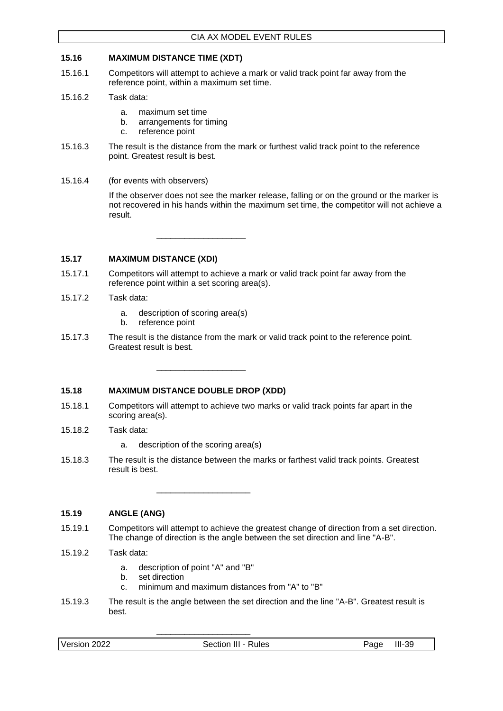### <span id="page-53-0"></span>**15.16 MAXIMUM DISTANCE TIME (XDT)**

- 15.16.1 Competitors will attempt to achieve a mark or valid track point far away from the reference point, within a maximum set time.
- 15.16.2 Task data:
	- a. maximum set time
	- b. arrangements for timing
	- c. reference point
- 15.16.3 The result is the distance from the mark or furthest valid track point to the reference point. Greatest result is best.
- 15.16.4 (for events with observers)

If the observer does not see the marker release, falling or on the ground or the marker is not recovered in his hands within the maximum set time, the competitor will not achieve a result.

\_\_\_\_\_\_\_\_\_\_\_\_\_\_\_\_\_\_\_

### <span id="page-53-1"></span>**15.17 MAXIMUM DISTANCE (XDI)**

- 15.17.1 Competitors will attempt to achieve a mark or valid track point far away from the reference point within a set scoring area(s).
- 15.17.2 Task data:
	- a. description of scoring area(s)
	- b. reference point
- 15.17.3 The result is the distance from the mark or valid track point to the reference point. Greatest result is best.

### <span id="page-53-2"></span>**15.18 MAXIMUM DISTANCE DOUBLE DROP (XDD)**

- 15.18.1 Competitors will attempt to achieve two marks or valid track points far apart in the scoring area(s).
- 15.18.2 Task data:
	- a. description of the scoring area(s)

\_\_\_\_\_\_\_\_\_\_\_\_\_\_\_\_\_\_\_

15.18.3 The result is the distance between the marks or farthest valid track points. Greatest result is best.

\_\_\_\_\_\_\_\_\_\_\_\_\_\_\_\_\_\_\_\_

### <span id="page-53-3"></span>**15.19 ANGLE (ANG)**

- 15.19.1 Competitors will attempt to achieve the greatest change of direction from a set direction. The change of direction is the angle between the set direction and line "A-B".
- 15.19.2 Task data:
	- a. description of point "A" and "B"
	- b. set direction
	- c. minimum and maximum distances from "A" to "B"

\_\_\_\_\_\_\_\_\_\_\_\_\_\_\_\_\_\_\_\_

15.19.3 The result is the angle between the set direction and the line "A-B". Greatest result is best.

| Version 2022<br>Section III - Rules<br>Page | $III-39$ |
|---------------------------------------------|----------|
|---------------------------------------------|----------|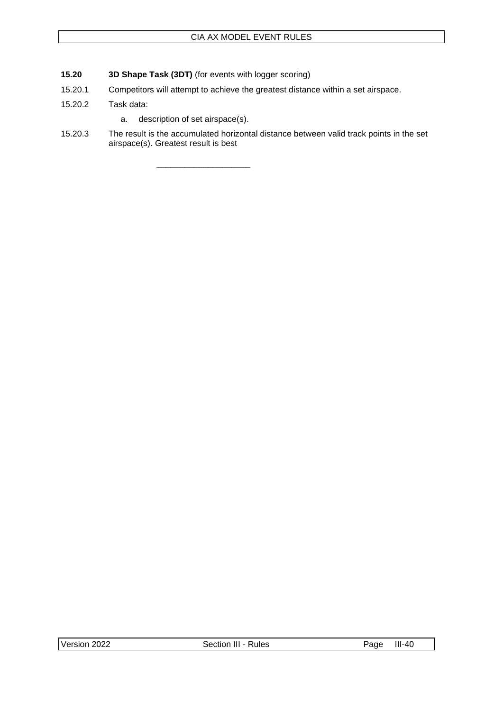- <span id="page-54-0"></span>**15.20 3D Shape Task (3DT)** (for events with logger scoring)
- 15.20.1 Competitors will attempt to achieve the greatest distance within a set airspace.
- 15.20.2 Task data:
	- a. description of set airspace(s).

\_\_\_\_\_\_\_\_\_\_\_\_\_\_\_\_\_\_\_\_

15.20.3 The result is the accumulated horizontal distance between valid track points in the set airspace(s). Greatest result is best